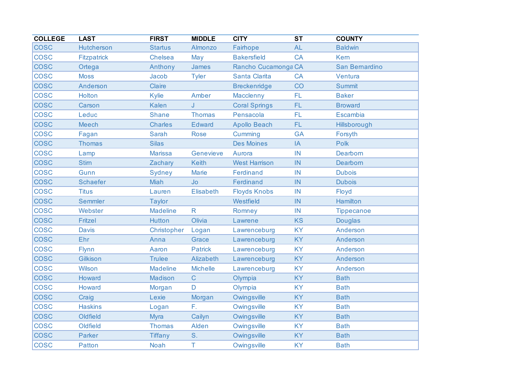| <b>COLLEGE</b> | <b>LAST</b>        | <b>FIRST</b>    | <b>MIDDLE</b>   | <b>CITY</b>          | $\overline{\text{ST}}$ | <b>COUNTY</b>     |
|----------------|--------------------|-----------------|-----------------|----------------------|------------------------|-------------------|
| <b>COSC</b>    | <b>Hutcherson</b>  | <b>Startus</b>  | Almonzo         | Fairhope             | <b>AL</b>              | <b>Baldwin</b>    |
| <b>COSC</b>    | <b>Fitzpatrick</b> | Chelsea         | May             | <b>Bakersfield</b>   | <b>CA</b>              | <b>Kem</b>        |
| <b>COSC</b>    | Ortega             | Anthony         | James           | Rancho Cucamonga CA  |                        | San Bernardino    |
| <b>COSC</b>    | <b>Moss</b>        | Jacob           | <b>Tyler</b>    | Santa Clarita        | <b>CA</b>              | Ventura           |
| <b>COSC</b>    | Anderson           | Claire          |                 | <b>Breckenridge</b>  | CO                     | <b>Summit</b>     |
| <b>COSC</b>    | Holton             | Kylie           | Amber           | Macclenny            | FL                     | <b>Baker</b>      |
| <b>COSC</b>    | Carson             | Kalen           | J               | <b>Coral Springs</b> | FL.                    | <b>Broward</b>    |
| <b>COSC</b>    | Leduc              | <b>Shane</b>    | <b>Thomas</b>   | Pensacola            | FL                     | Escambia          |
| <b>COSC</b>    | Meech              | <b>Charles</b>  | <b>Edward</b>   | <b>Apollo Beach</b>  | FL.                    | Hillsborough      |
| <b>COSC</b>    | Fagan              | <b>Sarah</b>    | <b>Rose</b>     | Cumming              | <b>GA</b>              | Forsyth           |
| <b>COSC</b>    | <b>Thomas</b>      | <b>Silas</b>    |                 | <b>Des Moines</b>    | IA                     | <b>Polk</b>       |
| <b>COSC</b>    | Lamp               | <b>Marissa</b>  | Genevieve       | Aurora               | IN                     | Dearborn          |
| <b>COSC</b>    | <b>Stirn</b>       | Zachary         | <b>Keith</b>    | <b>West Harrison</b> | IN                     | Dearborn          |
| <b>COSC</b>    | Gunn               | Sydney          | <b>Marie</b>    | Ferdinand            | IN                     | <b>Dubois</b>     |
| <b>COSC</b>    | <b>Schaefer</b>    | Miah            | <b>Jo</b>       | Ferdinand            | IN                     | <b>Dubois</b>     |
| <b>COSC</b>    | <b>Titus</b>       | Lauren          | Elisabeth       | <b>Floyds Knobs</b>  | IN                     | Floyd             |
| <b>COSC</b>    | <b>Semmler</b>     | <b>Taylor</b>   |                 | Westfield            | IN                     | <b>Hamilton</b>   |
| <b>COSC</b>    | Webster            | <b>Madeline</b> | $\mathsf{R}$    | Romney               | IN                     | <b>Tippecanoe</b> |
| <b>COSC</b>    | Fritzel            | <b>Hutton</b>   | Olivia          | Lawrene              | <b>KS</b>              | <b>Douglas</b>    |
| <b>COSC</b>    | <b>Davis</b>       | Christopher     | Logan           | Lawrenceburg         | <b>KY</b>              | Anderson          |
| <b>COSC</b>    | Ehr                | Anna            | Grace           | Lawrenceburg         | <b>KY</b>              | Anderson          |
| <b>COSC</b>    | <b>Flynn</b>       | Aaron           | <b>Patrick</b>  | Lawrenceburg         | <b>KY</b>              | Anderson          |
| <b>COSC</b>    | Gilkison           | <b>Trulee</b>   | Alizabeth       | Lawrenceburg         | <b>KY</b>              | Anderson          |
| <b>COSC</b>    | Wilson             | <b>Madeline</b> | <b>Michelle</b> | Lawrenceburg         | <b>KY</b>              | Anderson          |
| <b>COSC</b>    | Howard             | Madison         | $\mathsf{C}$    | Olympia              | <b>KY</b>              | <b>Bath</b>       |
| <b>COSC</b>    | Howard             | Morgan          | D               | Olympia              | <b>KY</b>              | <b>Bath</b>       |
| <b>COSC</b>    | Craig              | Lexie           | Morgan          | Owingsville          | <b>KY</b>              | <b>Bath</b>       |
| <b>COSC</b>    | <b>Haskins</b>     | Logan           | F.              | Owingsville          | <b>KY</b>              | <b>Bath</b>       |
| <b>COSC</b>    | Oldfield           | <b>Myra</b>     | Cailyn          | Owingsville          | <b>KY</b>              | <b>Bath</b>       |
| <b>COSC</b>    | Oldfield           | <b>Thomas</b>   | Alden           | Owingsville          | <b>KY</b>              | <b>Bath</b>       |
| <b>COSC</b>    | <b>Parker</b>      | <b>Tiffany</b>  | S.              | Owingsville          | <b>KY</b>              | <b>Bath</b>       |
| <b>COSC</b>    | <b>Patton</b>      | <b>Noah</b>     | T               | Owingsville          | <b>KY</b>              | <b>Bath</b>       |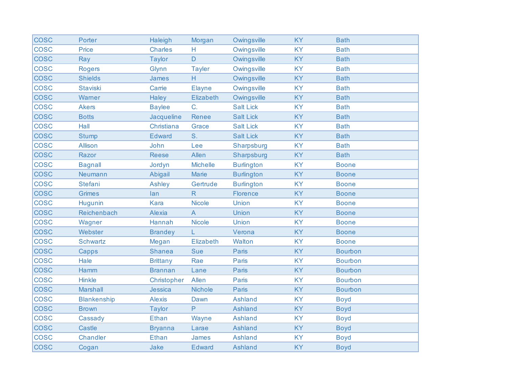| <b>COSC</b> | Porter             | Haleigh         | Morgan          | Owingsville       | <b>KY</b> | <b>Bath</b>    |
|-------------|--------------------|-----------------|-----------------|-------------------|-----------|----------------|
| <b>COSC</b> | Price              | <b>Charles</b>  | Н               | Owingsville       | <b>KY</b> | <b>Bath</b>    |
| <b>COSC</b> | Ray                | <b>Taylor</b>   | D               | Owingsville       | <b>KY</b> | <b>Bath</b>    |
| <b>COSC</b> | <b>Rogers</b>      | Glynn           | <b>Tayler</b>   | Owingsville       | <b>KY</b> | <b>Bath</b>    |
| <b>COSC</b> | <b>Shields</b>     | James           | H               | Owingsville       | <b>KY</b> | <b>Bath</b>    |
| <b>COSC</b> | <b>Staviski</b>    | Carrie          | <b>Elayne</b>   | Owingsville       | <b>KY</b> | <b>Bath</b>    |
| <b>COSC</b> | Warner             | <b>Haley</b>    | Elizabeth       | Owingsville       | <b>KY</b> | <b>Bath</b>    |
| <b>COSC</b> | <b>Akers</b>       | <b>Baylee</b>   | C.              | <b>Salt Lick</b>  | <b>KY</b> | <b>Bath</b>    |
| <b>COSC</b> | <b>Botts</b>       | Jacqueline      | Renee           | <b>Salt Lick</b>  | <b>KY</b> | <b>Bath</b>    |
| <b>COSC</b> | Hall               | Christiana      | Grace           | <b>Salt Lick</b>  | <b>KY</b> | <b>Bath</b>    |
| <b>COSC</b> | <b>Stump</b>       | <b>Edward</b>   | S.              | <b>Salt Lick</b>  | <b>KY</b> | <b>Bath</b>    |
| <b>COSC</b> | <b>Allison</b>     | John            | Lee             | Sharpsburg        | <b>KY</b> | <b>Bath</b>    |
| <b>COSC</b> | Razor              | <b>Reese</b>    | Allen           | Sharpsburg        | <b>KY</b> | <b>Bath</b>    |
| <b>COSC</b> | <b>Bagnall</b>     | Jordyn          | <b>Michelle</b> | <b>Burlington</b> | <b>KY</b> | <b>Boone</b>   |
| <b>COSC</b> | Neumann            | Abigail         | <b>Marie</b>    | <b>Burlington</b> | <b>KY</b> | <b>Boone</b>   |
| <b>COSC</b> | <b>Stefani</b>     | <b>Ashley</b>   | Gertrude        | <b>Burlington</b> | <b>KY</b> | <b>Boone</b>   |
| <b>COSC</b> | <b>Grimes</b>      | lan             | $\mathsf{R}$    | <b>Florence</b>   | <b>KY</b> | <b>Boone</b>   |
| <b>COSC</b> | Hugunin            | <b>Kara</b>     | <b>Nicole</b>   | Union             | <b>KY</b> | <b>Boone</b>   |
| <b>COSC</b> | Reichenbach        | <b>Alexia</b>   | $\overline{A}$  | Union             | <b>KY</b> | <b>Boone</b>   |
| <b>COSC</b> | Wagner             | Hannah          | <b>Nicole</b>   | Union             | <b>KY</b> | <b>Boone</b>   |
| <b>COSC</b> | Webster            | <b>Brandey</b>  | L               | Verona            | <b>KY</b> | <b>Boone</b>   |
| <b>COSC</b> | <b>Schwartz</b>    | Megan           | Elizabeth       | Walton            | <b>KY</b> | <b>Boone</b>   |
| <b>COSC</b> | Capps              | <b>Shanea</b>   | <b>Sue</b>      | Paris             | <b>KY</b> | <b>Bourbon</b> |
| <b>COSC</b> | Hale               | <b>Brittany</b> | Rae             | Paris             | <b>KY</b> | <b>Bourbon</b> |
| <b>COSC</b> | Hamm               | <b>Brannan</b>  | Lane            | <b>Paris</b>      | <b>KY</b> | <b>Bourbon</b> |
| <b>COSC</b> | <b>Hinkle</b>      | Christopher     | Allen           | Paris             | <b>KY</b> | <b>Bourbon</b> |
| <b>COSC</b> | <b>Marshall</b>    | Jessica         | <b>Nichole</b>  | <b>Paris</b>      | <b>KY</b> | <b>Bourbon</b> |
| <b>COSC</b> | <b>Blankenship</b> | <b>Alexis</b>   | Dawn            | <b>Ashland</b>    | <b>KY</b> | <b>Boyd</b>    |
| <b>COSC</b> | <b>Brown</b>       | <b>Taylor</b>   | P               | <b>Ashland</b>    | <b>KY</b> | <b>Boyd</b>    |
| <b>COSC</b> | Cassady            | <b>Ethan</b>    | Wayne           | Ashland           | <b>KY</b> | <b>Boyd</b>    |
| <b>COSC</b> | <b>Castle</b>      | <b>Bryanna</b>  | Larae           | <b>Ashland</b>    | <b>KY</b> | <b>Boyd</b>    |
| <b>COSC</b> | Chandler           | Ethan           | James           | Ashland           | <b>KY</b> | <b>Boyd</b>    |
| <b>COSC</b> | Cogan              | Jake            | <b>Edward</b>   | Ashland           | KY        | <b>Boyd</b>    |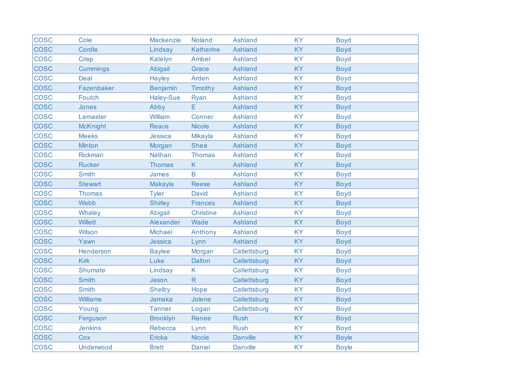| <b>COSC</b> | Cole            | Mackenzie        | <b>Noland</b>    | <b>Ashland</b>  | <b>KY</b> | <b>Boyd</b>  |
|-------------|-----------------|------------------|------------------|-----------------|-----------|--------------|
| <b>COSC</b> | Cordle          | Lindsay          | <b>Katherine</b> | Ashland         | <b>KY</b> | <b>Boyd</b>  |
| <b>COSC</b> | Crisp           | Katelyn          | Amber            | <b>Ashland</b>  | <b>KY</b> | <b>Boyd</b>  |
| <b>COSC</b> | <b>Cummings</b> | Abigail          | Grace            | <b>Ashland</b>  | KY        | <b>Boyd</b>  |
| <b>COSC</b> | <b>Deal</b>     | Hayley           | Arden            | <b>Ashland</b>  | <b>KY</b> | <b>Boyd</b>  |
| <b>COSC</b> | Fazenbaker      | <b>Benjamin</b>  | Timothy          | Ashland         | <b>KY</b> | <b>Boyd</b>  |
| <b>COSC</b> | <b>Foutch</b>   | <b>Haley-Sue</b> | <b>Ryan</b>      | <b>Ashland</b>  | <b>KY</b> | <b>Boyd</b>  |
| <b>COSC</b> | Jones           | Abby             | E                | Ashland         | <b>KY</b> | <b>Boyd</b>  |
| <b>COSC</b> | Lemaster        | William          | Conner           | Ashland         | <b>KY</b> | <b>Boyd</b>  |
| <b>COSC</b> | <b>McKnight</b> | <b>Reace</b>     | <b>Nicole</b>    | <b>Ashland</b>  | <b>KY</b> | <b>Boyd</b>  |
| <b>COSC</b> | <b>Meeks</b>    | Jessica          | Mikayla          | <b>Ashland</b>  | <b>KY</b> | <b>Boyd</b>  |
| <b>COSC</b> | <b>Minton</b>   | Morgan           | <b>Shea</b>      | Ashland         | <b>KY</b> | <b>Boyd</b>  |
| <b>COSC</b> | Rickman         | Nathan           | <b>Thomas</b>    | <b>Ashland</b>  | <b>KY</b> | <b>Boyd</b>  |
| <b>COSC</b> | <b>Rucker</b>   | <b>Thomas</b>    | K                | <b>Ashland</b>  | <b>KY</b> | <b>Boyd</b>  |
| <b>COSC</b> | <b>Smith</b>    | James            | B                | Ashland         | <b>KY</b> | <b>Boyd</b>  |
| <b>COSC</b> | <b>Stewart</b>  | Makayla          | <b>Reese</b>     | Ashland         | <b>KY</b> | <b>Boyd</b>  |
| <b>COSC</b> | <b>Thomas</b>   | <b>Tyler</b>     | David            | Ashland         | <b>KY</b> | <b>Boyd</b>  |
| <b>COSC</b> | Webb            | <b>Shirley</b>   | <b>Frances</b>   | <b>Ashland</b>  | <b>KY</b> | <b>Boyd</b>  |
| <b>COSC</b> | Whaley          | Abigail          | <b>Christine</b> | <b>Ashland</b>  | <b>KY</b> | <b>Boyd</b>  |
| <b>COSC</b> | <b>Willett</b>  | Alexander        | Wade             | Ashland         | <b>KY</b> | <b>Boyd</b>  |
| <b>COSC</b> | Wilson          | <b>Michael</b>   | Anthony          | Ashland         | <b>KY</b> | <b>Boyd</b>  |
| <b>COSC</b> | Yawn            | Jessica          | Lynn             | Ashland         | <b>KY</b> | <b>Boyd</b>  |
| <b>COSC</b> | Henderson       | <b>Baylee</b>    | Morgan           | Catlettsburg    | <b>KY</b> | <b>Boyd</b>  |
| <b>COSC</b> | <b>Kirk</b>     | Luke             | Dalton           | Catlettsburg    | KY        | <b>Boyd</b>  |
| <b>COSC</b> | Shumate         | Lindsay          | K                | Catlettsburg    | <b>KY</b> | <b>Boyd</b>  |
| <b>COSC</b> | <b>Smith</b>    | Jason            | $\mathsf{R}$     | Catlettsburg    | <b>KY</b> | <b>Boyd</b>  |
| <b>COSC</b> | <b>Smith</b>    | <b>Shelby</b>    | Hope             | Catlettsburg    | <b>KY</b> | <b>Boyd</b>  |
| <b>COSC</b> | <b>Williams</b> | Jamaka           | Jolene           | Catlettsburg    | KY        | <b>Boyd</b>  |
| <b>COSC</b> | Young           | <b>Tanner</b>    | Logan            | Catlettsburg    | <b>KY</b> | <b>Boyd</b>  |
| <b>COSC</b> | Ferguson        | <b>Brooklyn</b>  | Renee            | <b>Rush</b>     | <b>KY</b> | <b>Boyd</b>  |
| <b>COSC</b> | <b>Jenkins</b>  | Rebecca          | Lynn             | <b>Rush</b>     | <b>KY</b> | <b>Boyd</b>  |
| <b>COSC</b> | Cox             | Ericka           | <b>Nicole</b>    | <b>Danville</b> | <b>KY</b> | <b>Boyle</b> |
| <b>COSC</b> | Underwood       | <b>Brett</b>     | <b>Daniel</b>    | <b>Danville</b> | <b>KY</b> | <b>Boyle</b> |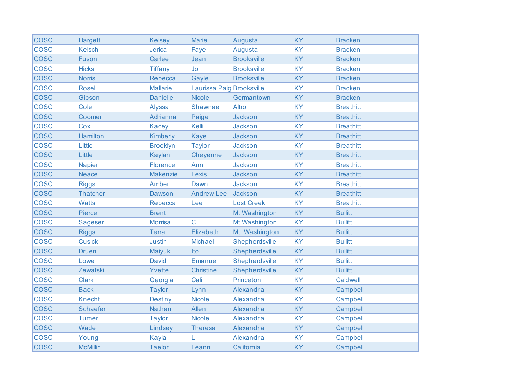| <b>COSC</b> | Hargett         | <b>Kelsey</b>   | <b>Marie</b>              | Augusta            | <b>KY</b> | <b>Bracken</b>   |
|-------------|-----------------|-----------------|---------------------------|--------------------|-----------|------------------|
| <b>COSC</b> | <b>Kelsch</b>   | Jerica          | Faye                      | Augusta            | <b>KY</b> | <b>Bracken</b>   |
| <b>COSC</b> | Fuson           | Carlee          | Jean                      | <b>Brooksville</b> | <b>KY</b> | <b>Bracken</b>   |
| <b>COSC</b> | <b>Hicks</b>    | <b>Tiffany</b>  | Jo                        | <b>Brooksville</b> | <b>KY</b> | <b>Bracken</b>   |
| <b>COSC</b> | <b>Norris</b>   | Rebecca         | Gayle                     | <b>Brooksville</b> | <b>KY</b> | <b>Bracken</b>   |
| <b>COSC</b> | <b>Rosel</b>    | <b>Mallarie</b> | Laurissa Paig Brooksville |                    | <b>KY</b> | <b>Bracken</b>   |
| <b>COSC</b> | Gibson          | <b>Danielle</b> | <b>Nicole</b>             | Germantown         | <b>KY</b> | <b>Bracken</b>   |
| <b>COSC</b> | Cole            | Alyssa          | Shawnae                   | Altro              | <b>KY</b> | <b>Breathitt</b> |
| <b>COSC</b> | Coomer          | Adrianna        | Paige                     | Jackson            | <b>KY</b> | <b>Breathitt</b> |
| <b>COSC</b> | Cox             | <b>Kacey</b>    | Kelli                     | Jackson            | <b>KY</b> | <b>Breathitt</b> |
| <b>COSC</b> | <b>Hamilton</b> | <b>Kimberly</b> | <b>Kaye</b>               | Jackson            | KY        | <b>Breathitt</b> |
| <b>COSC</b> | Little          | <b>Brooklyn</b> | <b>Taylor</b>             | Jackson            | <b>KY</b> | <b>Breathitt</b> |
| <b>COSC</b> | Little          | Kaylan          | Cheyenne                  | Jackson            | <b>KY</b> | <b>Breathitt</b> |
| <b>COSC</b> | <b>Napier</b>   | Florence        | Ann                       | Jackson            | <b>KY</b> | <b>Breathitt</b> |
| <b>COSC</b> | <b>Neace</b>    | <b>Makenzie</b> | Lexis                     | Jackson            | <b>KY</b> | <b>Breathitt</b> |
| <b>COSC</b> | <b>Riggs</b>    | Amber           | Dawn                      | Jackson            | <b>KY</b> | <b>Breathitt</b> |
| <b>COSC</b> | <b>Thatcher</b> | Dawson          | <b>Andrew Lee</b>         | Jackson            | <b>KY</b> | <b>Breathitt</b> |
| <b>COSC</b> | <b>Watts</b>    | Rebecca         | Lee                       | <b>Lost Creek</b>  | <b>KY</b> | <b>Breathitt</b> |
| <b>COSC</b> | Pierce          | <b>Brent</b>    |                           | Mt Washington      | KY        | <b>Bullitt</b>   |
| <b>COSC</b> | <b>Sageser</b>  | <b>Morrisa</b>  | $\mathsf{C}$              | Mt Washington      | <b>KY</b> | <b>Bullitt</b>   |
| <b>COSC</b> | <b>Riggs</b>    | <b>Terra</b>    | Elizabeth                 | Mt. Washington     | <b>KY</b> | <b>Bullitt</b>   |
| <b>COSC</b> | <b>Cusick</b>   | <b>Justin</b>   | <b>Michael</b>            | Shepherdsville     | <b>KY</b> | <b>Bullitt</b>   |
| <b>COSC</b> | <b>Druen</b>    | Maiyuki         | Ito                       | Shepherdsville     | <b>KY</b> | <b>Bullitt</b>   |
| <b>COSC</b> | Lowe            | <b>David</b>    | Emanuel                   | Shepherdsville     | <b>KY</b> | <b>Bullitt</b>   |
| <b>COSC</b> | Zewatski        | Yvette          | <b>Christine</b>          | Shepherdsville     | <b>KY</b> | <b>Bullitt</b>   |
| <b>COSC</b> | <b>Clark</b>    | Georgia         | Cali                      | Princeton          | <b>KY</b> | Caldwell         |
| <b>COSC</b> | <b>Back</b>     | <b>Taylor</b>   | Lynn                      | Alexandria         | <b>KY</b> | Campbell         |
| <b>COSC</b> | <b>Knecht</b>   | <b>Destiny</b>  | <b>Nicole</b>             | Alexandria         | <b>KY</b> | Campbell         |
| <b>COSC</b> | <b>Schaefer</b> | <b>Nathan</b>   | Allen                     | Alexandria         | <b>KY</b> | Campbell         |
| <b>COSC</b> | <b>Turner</b>   | <b>Taylor</b>   | <b>Nicole</b>             | Alexandria         | <b>KY</b> | Campbell         |
| <b>COSC</b> | Wade            | Lindsey         | <b>Theresa</b>            | Alexandria         | <b>KY</b> | Campbell         |
| <b>COSC</b> | Young           | Kayla           | L                         | Alexandria         | <b>KY</b> | Campbell         |
| <b>COSC</b> | <b>McMillin</b> | <b>Taelor</b>   | Leann                     | California         | KY        | Campbell         |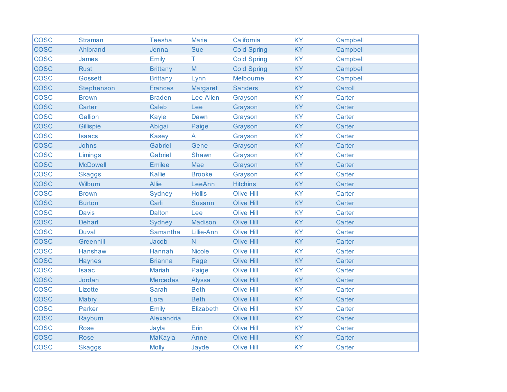| <b>COSC</b> | <b>Straman</b>  | <b>Teesha</b>   | <b>Marie</b>   | California         | <b>KY</b> | Campbell |
|-------------|-----------------|-----------------|----------------|--------------------|-----------|----------|
| <b>COSC</b> | Ahlbrand        | Jenna           | <b>Sue</b>     | <b>Cold Spring</b> | <b>KY</b> | Campbell |
| <b>COSC</b> | James           | Emily           | Τ              | <b>Cold Spring</b> | <b>KY</b> | Campbell |
| <b>COSC</b> | <b>Rust</b>     | <b>Brittany</b> | M              | <b>Cold Spring</b> | KY        | Campbell |
| <b>COSC</b> | <b>Gossett</b>  | <b>Brittany</b> | Lynn           | Melbourne          | <b>KY</b> | Campbell |
| <b>COSC</b> | Stephenson      | <b>Frances</b>  | Margaret       | <b>Sanders</b>     | <b>KY</b> | Carroll  |
| <b>COSC</b> | <b>Brown</b>    | <b>Braden</b>   | Lee Allen      | Grayson            | <b>KY</b> | Carter   |
| <b>COSC</b> | Carter          | Caleb           | Lee            | Grayson            | <b>KY</b> | Carter   |
| <b>COSC</b> | <b>Gallion</b>  | Kayle           | Dawn           | Grayson            | <b>KY</b> | Carter   |
| <b>COSC</b> | Gillispie       | Abigail         | Paige          | Grayson            | <b>KY</b> | Carter   |
| <b>COSC</b> | <b>Isaacs</b>   | <b>Kasey</b>    | A              | Grayson            | <b>KY</b> | Carter   |
| <b>COSC</b> | Johns           | Gabriel         | Gene           | Grayson            | <b>KY</b> | Carter   |
| <b>COSC</b> | Limings         | Gabriel         | Shawn          | Grayson            | <b>KY</b> | Carter   |
| <b>COSC</b> | <b>McDowell</b> | <b>Emilee</b>   | Mae            | Grayson            | <b>KY</b> | Carter   |
| <b>COSC</b> | <b>Skaggs</b>   | Kallie          | <b>Brooke</b>  | Grayson            | <b>KY</b> | Carter   |
| <b>COSC</b> | Wilburn         | <b>Allie</b>    | LeeAnn         | <b>Hitchins</b>    | <b>KY</b> | Carter   |
| <b>COSC</b> | <b>Brown</b>    | Sydney          | <b>Hollis</b>  | <b>Olive Hill</b>  | <b>KY</b> | Carter   |
| <b>COSC</b> | <b>Burton</b>   | Carli           | <b>Susann</b>  | <b>Olive Hill</b>  | <b>KY</b> | Carter   |
| <b>COSC</b> | <b>Davis</b>    | <b>Dalton</b>   | Lee            | <b>Olive Hill</b>  | <b>KY</b> | Carter   |
| <b>COSC</b> | <b>Dehart</b>   | Sydney          | Madison        | Olive Hill         | <b>KY</b> | Carter   |
| <b>COSC</b> | <b>Duvall</b>   | Samantha        | Lillie-Ann     | <b>Olive Hill</b>  | <b>KY</b> | Carter   |
| <b>COSC</b> | Greenhill       | Jacob           | $\overline{N}$ | <b>Olive Hill</b>  | <b>KY</b> | Carter   |
| <b>COSC</b> | Hanshaw         | Hannah          | <b>Nicole</b>  | <b>Olive Hill</b>  | <b>KY</b> | Carter   |
| <b>COSC</b> | <b>Haynes</b>   | <b>Brianna</b>  | Page           | <b>Olive Hill</b>  | <b>KY</b> | Carter   |
| <b>COSC</b> | <b>Isaac</b>    | <b>Mariah</b>   | Paige          | <b>Olive Hill</b>  | <b>KY</b> | Carter   |
| <b>COSC</b> | Jordan          | <b>Mercedes</b> | Alyssa         | <b>Olive Hill</b>  | <b>KY</b> | Carter   |
| <b>COSC</b> | Lizotte         | <b>Sarah</b>    | <b>Beth</b>    | <b>Olive Hill</b>  | <b>KY</b> | Carter   |
| <b>COSC</b> | Mabry           | Lora            | <b>Beth</b>    | <b>Olive Hill</b>  | <b>KY</b> | Carter   |
| <b>COSC</b> | <b>Parker</b>   | Emily           | Elizabeth      | <b>Olive Hill</b>  | <b>KY</b> | Carter   |
| <b>COSC</b> | Rayburn         | Alexandria      |                | <b>Olive Hill</b>  | <b>KY</b> | Carter   |
| <b>COSC</b> | <b>Rose</b>     | Jayla           | Erin           | <b>Olive Hill</b>  | <b>KY</b> | Carter   |
| <b>COSC</b> | <b>Rose</b>     | MaKayla         | Anne           | <b>Olive Hill</b>  | <b>KY</b> | Carter   |
| <b>COSC</b> | <b>Skaggs</b>   | <b>Molly</b>    | Jayde          | <b>Olive Hill</b>  | KY        | Carter   |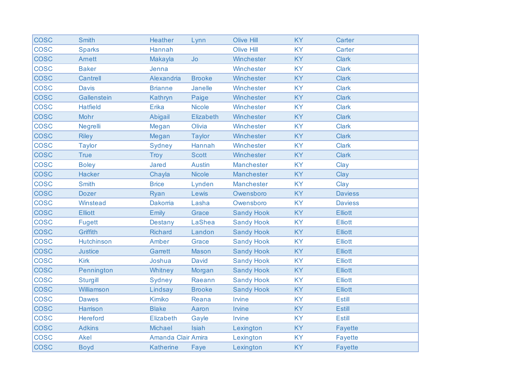| <b>COSC</b> | <b>Smith</b>      | <b>Heather</b>     | Lynn          | <b>Olive Hill</b> | <b>KY</b> | Carter         |
|-------------|-------------------|--------------------|---------------|-------------------|-----------|----------------|
| <b>COSC</b> | <b>Sparks</b>     | Hannah             |               | <b>Olive Hill</b> | <b>KY</b> | Carter         |
| <b>COSC</b> | <b>Amett</b>      | Makayla            | <b>Jo</b>     | Winchester        | <b>KY</b> | <b>Clark</b>   |
| <b>COSC</b> | <b>Baker</b>      | Jenna              |               | Winchester        | <b>KY</b> | <b>Clark</b>   |
| <b>COSC</b> | Cantrell          | Alexandria         | <b>Brooke</b> | Winchester        | <b>KY</b> | <b>Clark</b>   |
| <b>COSC</b> | <b>Davis</b>      | <b>Brianne</b>     | Janelle       | Winchester        | <b>KY</b> | <b>Clark</b>   |
| <b>COSC</b> | Gallenstein       | Kathryn            | Paige         | Winchester        | <b>KY</b> | <b>Clark</b>   |
| <b>COSC</b> | <b>Hatfield</b>   | Erika              | <b>Nicole</b> | Winchester        | <b>KY</b> | <b>Clark</b>   |
| <b>COSC</b> | Mohr              | Abigail            | Elizabeth     | Winchester        | <b>KY</b> | <b>Clark</b>   |
| <b>COSC</b> | Negrelli          | Megan              | Olivia        | Winchester        | <b>KY</b> | <b>Clark</b>   |
| <b>COSC</b> | <b>Riley</b>      | Megan              | <b>Taylor</b> | Winchester        | KY        | <b>Clark</b>   |
| <b>COSC</b> | <b>Taylor</b>     | Sydney             | Hannah        | Winchester        | <b>KY</b> | <b>Clark</b>   |
| <b>COSC</b> | <b>True</b>       | Troy               | <b>Scott</b>  | Winchester        | <b>KY</b> | <b>Clark</b>   |
| <b>COSC</b> | <b>Boley</b>      | <b>Jared</b>       | <b>Austin</b> | Manchester        | <b>KY</b> | Clay           |
| <b>COSC</b> | <b>Hacker</b>     | Chayla             | <b>Nicole</b> | Manchester        | <b>KY</b> | Clay           |
| <b>COSC</b> | <b>Smith</b>      | <b>Brice</b>       | Lynden        | Manchester        | <b>KY</b> | Clay           |
| <b>COSC</b> | <b>Dozer</b>      | Ryan               | Lewis         | Owensboro         | <b>KY</b> | <b>Daviess</b> |
| <b>COSC</b> | Winstead          | <b>Dakorria</b>    | Lasha         | Owensboro         | <b>KY</b> | <b>Daviess</b> |
| <b>COSC</b> | <b>Elliott</b>    | Emily              | Grace         | <b>Sandy Hook</b> | <b>KY</b> | <b>Elliott</b> |
| <b>COSC</b> | <b>Fugett</b>     | <b>Destany</b>     | LaShea        | <b>Sandy Hook</b> | <b>KY</b> | <b>Elliott</b> |
| <b>COSC</b> | Griffith          | <b>Richard</b>     | Landon        | <b>Sandy Hook</b> | <b>KY</b> | <b>Elliott</b> |
| <b>COSC</b> | <b>Hutchinson</b> | Amber              | Grace         | <b>Sandy Hook</b> | <b>KY</b> | <b>Elliott</b> |
| <b>COSC</b> | <b>Justice</b>    | <b>Garrett</b>     | <b>Mason</b>  | <b>Sandy Hook</b> | <b>KY</b> | <b>Elliott</b> |
| <b>COSC</b> | <b>Kirk</b>       | Joshua             | David         | <b>Sandy Hook</b> | <b>KY</b> | <b>Elliott</b> |
| <b>COSC</b> | Pennington        | Whitney            | Morgan        | <b>Sandy Hook</b> | <b>KY</b> | <b>Elliott</b> |
| <b>COSC</b> | <b>Sturgill</b>   | Sydney             | Raeann        | <b>Sandy Hook</b> | <b>KY</b> | <b>Elliott</b> |
| <b>COSC</b> | Williamson        | Lindsay            | <b>Brooke</b> | <b>Sandy Hook</b> | <b>KY</b> | <b>Elliott</b> |
| <b>COSC</b> | <b>Dawes</b>      | Kimiko             | Reana         | Irvine            | <b>KY</b> | <b>Estill</b>  |
| <b>COSC</b> | Harrison          | <b>Blake</b>       | Aaron         | Irvine            | <b>KY</b> | <b>Estill</b>  |
| <b>COSC</b> | <b>Hereford</b>   | Elizabeth          | Gayle         | Irvine            | <b>KY</b> | <b>Estill</b>  |
| <b>COSC</b> | <b>Adkins</b>     | Michael            | Isiah         | Lexington         | <b>KY</b> | <b>Fayette</b> |
| <b>COSC</b> | <b>Akel</b>       | Amanda Clair Amira |               | Lexington         | <b>KY</b> | <b>Fayette</b> |
| <b>COSC</b> | <b>Boyd</b>       | <b>Katherine</b>   | Faye          | Lexington         | KY        | <b>Fayette</b> |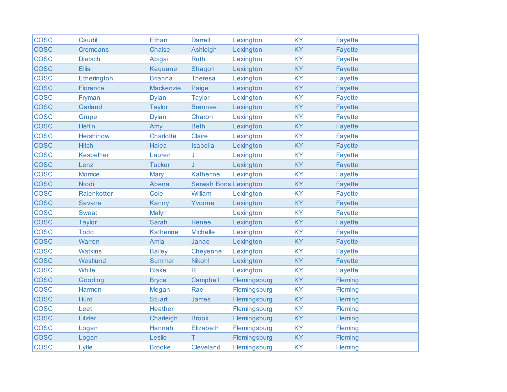| <b>COSC</b> | Caudill            | <b>Ethan</b>     | <b>Darrell</b>  | Lexington                    | <b>KY</b> | <b>Fayette</b> |
|-------------|--------------------|------------------|-----------------|------------------------------|-----------|----------------|
| <b>COSC</b> | <b>Cremeans</b>    | <b>Chaise</b>    | Ashleigh        | Lexington                    | <b>KY</b> | <b>Fayette</b> |
| <b>COSC</b> | Dietsch            | Abigail          | <b>Ruth</b>     | Lexington                    | <b>KY</b> | <b>Fayette</b> |
| <b>COSC</b> | <b>Ellis</b>       | Kequane          | Shaqori         | Lexington                    | KY        | <b>Fayette</b> |
| <b>COSC</b> | <b>Etherington</b> | <b>Brianna</b>   | <b>Theresa</b>  | Lexington                    | <b>KY</b> | <b>Fayette</b> |
| <b>COSC</b> | <b>Florence</b>    | Mackenzie        | Paige           | Lexington                    | <b>KY</b> | Fayette        |
| <b>COSC</b> | Fryman             | <b>Dylan</b>     | <b>Taylor</b>   | Lexington                    | <b>KY</b> | <b>Fayette</b> |
| <b>COSC</b> | Garland            | <b>Taylor</b>    | <b>Brennae</b>  | Lexington                    | <b>KY</b> | <b>Fayette</b> |
| <b>COSC</b> | <b>Grupe</b>       | <b>Dylan</b>     | Charon          | Lexington                    | <b>KY</b> | <b>Fayette</b> |
| <b>COSC</b> | <b>Heflin</b>      | Amy              | <b>Beth</b>     | Lexington                    | <b>KY</b> | Fayette        |
| <b>COSC</b> | <b>Hershinow</b>   | Charlotte        | Claire          | Lexington                    | <b>KY</b> | <b>Fayette</b> |
| <b>COSC</b> | <b>Hitch</b>       | Halea            | Isabella        | Lexington                    | <b>KY</b> | <b>Fayette</b> |
| <b>COSC</b> | <b>Kespelher</b>   | Lauren           | J               | Lexington                    | <b>KY</b> | <b>Fayette</b> |
| <b>COSC</b> | Lenz               | <b>Tucker</b>    | J               | Lexington                    | <b>KY</b> | <b>Fayette</b> |
| <b>COSC</b> | <b>Morrice</b>     | Mary             | Katherine       | Lexington                    | <b>KY</b> | <b>Fayette</b> |
| <b>COSC</b> | <b>Ntodi</b>       | Abena            |                 | <b>Serwah Bons Lexington</b> | <b>KY</b> | <b>Fayette</b> |
| <b>COSC</b> | Ralenkotter        | Cole             | William         | Lexington                    | <b>KY</b> | <b>Fayette</b> |
| <b>COSC</b> | <b>Savane</b>      | Kanny            | Yvonne          | Lexington                    | <b>KY</b> | Fayette        |
| <b>COSC</b> | <b>Sweat</b>       | Malyn            |                 | Lexington                    | <b>KY</b> | <b>Fayette</b> |
| <b>COSC</b> | <b>Taylor</b>      | <b>Sarah</b>     | Renee           | Lexington                    | <b>KY</b> | <b>Fayette</b> |
| <b>COSC</b> | <b>Todd</b>        | <b>Katherine</b> | <b>Michelle</b> | Lexington                    | <b>KY</b> | <b>Fayette</b> |
| <b>COSC</b> | Warren             | Amia             | Janae           | Lexington                    | <b>KY</b> | <b>Fayette</b> |
| <b>COSC</b> | <b>Watkins</b>     | <b>Bailey</b>    | Cheyenne        | Lexington                    | <b>KY</b> | <b>Fayette</b> |
| <b>COSC</b> | Westlund           | <b>Summer</b>    | Nikohl          | Lexington                    | KY        | <b>Fayette</b> |
| <b>COSC</b> | White              | <b>Blake</b>     | $\mathsf{R}$    | Lexington                    | <b>KY</b> | <b>Fayette</b> |
| <b>COSC</b> | Gooding            | <b>Bryce</b>     | Campbell        | Flemingsburg                 | KY        | Fleming        |
| <b>COSC</b> | Harmon             | Megan            | Rae             | Flemingsburg                 | <b>KY</b> | Fleming        |
| <b>COSC</b> | Hurd               | <b>Stuart</b>    | James           | Flemingsburg                 | KY        | Fleming        |
| <b>COSC</b> | Leet               | Heather          |                 | Flemingsburg                 | <b>KY</b> | Fleming        |
| <b>COSC</b> | Litzler            | Charleigh        | <b>Brook</b>    | Flemingsburg                 | <b>KY</b> | Fleming        |
| <b>COSC</b> | Logan              | Hannah           | Elizabeth       | Flemingsburg                 | <b>KY</b> | Fleming        |
| <b>COSC</b> | Logan              | Leslie           | Τ               | Flemingsburg                 | <b>KY</b> | Fleming        |
| <b>COSC</b> | Lytle              | <b>Brooke</b>    | Cleveland       | Flemingsburg                 | <b>KY</b> | <b>Fleming</b> |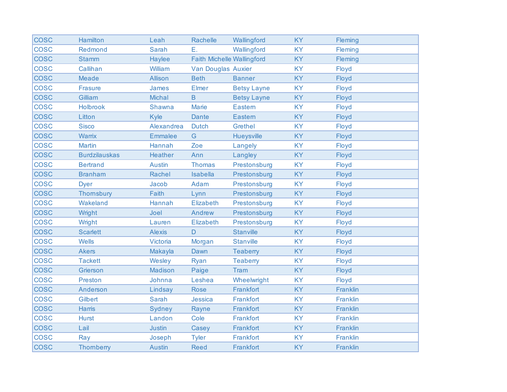| <b>COSC</b> | Hamilton             | Leah           | Rachelle                          | Wallingford        | <b>KY</b> | Fleming         |
|-------------|----------------------|----------------|-----------------------------------|--------------------|-----------|-----------------|
| <b>COSC</b> | Redmond              | <b>Sarah</b>   | Ε.                                | Wallingford        | <b>KY</b> | Fleming         |
| <b>COSC</b> | <b>Stamm</b>         | Haylee         | <b>Faith Michelle Wallingford</b> |                    | <b>KY</b> | <b>Fleming</b>  |
| <b>COSC</b> | Callihan             | William        | Van Douglas Auxier                |                    | <b>KY</b> | Floyd           |
| <b>COSC</b> | <b>Meade</b>         | Allison        | <b>Beth</b>                       | <b>Banner</b>      | <b>KY</b> | Floyd           |
| <b>COSC</b> | <b>Frasure</b>       | James          | Elmer                             | <b>Betsy Layne</b> | <b>KY</b> | Floyd           |
| <b>COSC</b> | Gilliam              | Michal         | $\overline{B}$                    | <b>Betsy Layne</b> | <b>KY</b> | Floyd           |
| <b>COSC</b> | <b>Holbrook</b>      | Shawna         | <b>Marie</b>                      | Eastern            | <b>KY</b> | Floyd           |
| <b>COSC</b> | Litton               | Kyle           | <b>Dante</b>                      | <b>Eastern</b>     | <b>KY</b> | Floyd           |
| <b>COSC</b> | <b>Sisco</b>         | Alexandrea     | <b>Dutch</b>                      | <b>Grethel</b>     | <b>KY</b> | Floyd           |
| <b>COSC</b> | <b>Warrix</b>        | <b>Emmalee</b> | G                                 | Hueysville         | <b>KY</b> | Floyd           |
| <b>COSC</b> | <b>Martin</b>        | Hannah         | Zoe                               | Langely            | <b>KY</b> | Floyd           |
| <b>COSC</b> | <b>Burdzilauskas</b> | Heather        | Ann                               | Langley            | <b>KY</b> | Floyd           |
| <b>COSC</b> | <b>Bertrand</b>      | <b>Austin</b>  | <b>Thomas</b>                     | Prestonsburg       | <b>KY</b> | Floyd           |
| <b>COSC</b> | <b>Branham</b>       | Rachel         | <b>Isabella</b>                   | Prestonsburg       | <b>KY</b> | Floyd           |
| <b>COSC</b> | <b>Dyer</b>          | Jacob          | Adam                              | Prestonsburg       | <b>KY</b> | Floyd           |
| <b>COSC</b> | Thomsbury            | Faith          | Lynn                              | Prestonsburg       | <b>KY</b> | Floyd           |
| <b>COSC</b> | Wakeland             | Hannah         | Elizabeth                         | Prestonsburg       | <b>KY</b> | Floyd           |
| <b>COSC</b> | Wright               | Joel           | Andrew                            | Prestonsburg       | <b>KY</b> | Floyd           |
| <b>COSC</b> | Wright               | Lauren         | Elizabeth                         | Prestonsburg       | <b>KY</b> | Floyd           |
| <b>COSC</b> | <b>Scarlett</b>      | <b>Alexis</b>  | D                                 | <b>Stanville</b>   | <b>KY</b> | Floyd           |
| <b>COSC</b> | <b>Wells</b>         | Victoria       | Morgan                            | <b>Stanville</b>   | <b>KY</b> | Floyd           |
| <b>COSC</b> | <b>Akers</b>         | Makayla        | Dawn                              | <b>Teaberry</b>    | <b>KY</b> | Floyd           |
| <b>COSC</b> | <b>Tackett</b>       | Wesley         | Ryan                              | <b>Teaberry</b>    | <b>KY</b> | Floyd           |
| <b>COSC</b> | Grierson             | Madison        | Paige                             | Tram               | <b>KY</b> | Floyd           |
| <b>COSC</b> | <b>Preston</b>       | Johnna         | Leshea                            | Wheelwright        | <b>KY</b> | Floyd           |
| <b>COSC</b> | Anderson             | Lindsay        | <b>Rose</b>                       | Frankfort          | <b>KY</b> | Franklin        |
| <b>COSC</b> | Gilbert              | <b>Sarah</b>   | Jessica                           | Frankfort          | <b>KY</b> | Franklin        |
| <b>COSC</b> | <b>Harris</b>        | Sydney         | Rayne                             | Frankfort          | <b>KY</b> | Franklin        |
| <b>COSC</b> | <b>Hurst</b>         | Landon         | Cole                              | Frankfort          | <b>KY</b> | Franklin        |
| <b>COSC</b> | Lail                 | <b>Justin</b>  | Casey                             | Frankfort          | <b>KY</b> | Franklin        |
| <b>COSC</b> | Ray                  | Joseph         | <b>Tyler</b>                      | Frankfort          | <b>KY</b> | Franklin        |
| <b>COSC</b> | <b>Thomberry</b>     | <b>Austin</b>  | <b>Reed</b>                       | Frankfort          | <b>KY</b> | <b>Franklin</b> |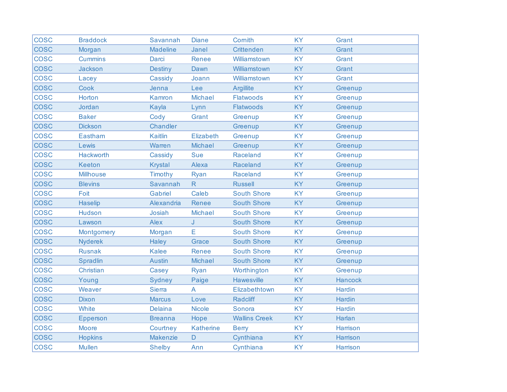| <b>COSC</b> | <b>Braddock</b>  | Savannah        | <b>Diane</b>     | Cornith              | <b>KY</b> | Grant         |
|-------------|------------------|-----------------|------------------|----------------------|-----------|---------------|
| <b>COSC</b> | Morgan           | <b>Madeline</b> | Janel            | <b>Crittenden</b>    | <b>KY</b> | Grant         |
| <b>COSC</b> | <b>Cummins</b>   | <b>Darci</b>    | Renee            | Williamstown         | <b>KY</b> | Grant         |
| <b>COSC</b> | <b>Jackson</b>   | <b>Destiny</b>  | Dawn             | Williamstown         | <b>KY</b> | Grant         |
| <b>COSC</b> | Lacey            | Cassidy         | Joann            | Williamstown         | <b>KY</b> | Grant         |
| <b>COSC</b> | Cook             | Jenna           | Lee              | <b>Argillite</b>     | <b>KY</b> | Greenup       |
| <b>COSC</b> | Horton           | Kamron          | <b>Michael</b>   | <b>Flatwoods</b>     | <b>KY</b> | Greenup       |
| <b>COSC</b> | Jordan           | Kayla           | Lynn             | <b>Flatwoods</b>     | <b>KY</b> | Greenup       |
| <b>COSC</b> | <b>Baker</b>     | Cody            | Grant            | Greenup              | <b>KY</b> | Greenup       |
| <b>COSC</b> | <b>Dickson</b>   | Chandler        |                  | Greenup              | <b>KY</b> | Greenup       |
| <b>COSC</b> | Eastham          | Kaitlin         | Elizabeth        | Greenup              | <b>KY</b> | Greenup       |
| <b>COSC</b> | Lewis            | Warren          | <b>Michael</b>   | Greenup              | <b>KY</b> | Greenup       |
| <b>COSC</b> | Hackworth        | Cassidy         | <b>Sue</b>       | Raceland             | <b>KY</b> | Greenup       |
| <b>COSC</b> | <b>Keeton</b>    | <b>Krystal</b>  | Alexa            | Raceland             | <b>KY</b> | Greenup       |
| <b>COSC</b> | <b>Millhouse</b> | Timothy         | Ryan             | Raceland             | <b>KY</b> | Greenup       |
| <b>COSC</b> | <b>Blevins</b>   | Savannah        | R.               | <b>Russell</b>       | <b>KY</b> | Greenup       |
| <b>COSC</b> | Foit             | Gabriel         | Caleb            | <b>South Shore</b>   | <b>KY</b> | Greenup       |
| <b>COSC</b> | <b>Haselip</b>   | Alexandria      | Renee            | <b>South Shore</b>   | <b>KY</b> | Greenup       |
| <b>COSC</b> | <b>Hudson</b>    | Josiah          | <b>Michael</b>   | <b>South Shore</b>   | <b>KY</b> | Greenup       |
| <b>COSC</b> | Lawson           | Alex            | J                | <b>South Shore</b>   | <b>KY</b> | Greenup       |
| <b>COSC</b> | Montgomery       | Morgan          | E                | <b>South Shore</b>   | <b>KY</b> | Greenup       |
| <b>COSC</b> | <b>Nyderek</b>   | Haley           | Grace            | <b>South Shore</b>   | <b>KY</b> | Greenup       |
| <b>COSC</b> | <b>Rusnak</b>    | <b>Kalee</b>    | Renee            | <b>South Shore</b>   | <b>KY</b> | Greenup       |
| <b>COSC</b> | Spradlin         | <b>Austin</b>   | Michael          | <b>South Shore</b>   | <b>KY</b> | Greenup       |
| <b>COSC</b> | Christian        | Casey           | Ryan             | Worthington          | <b>KY</b> | Greenup       |
| <b>COSC</b> | Young            | Sydney          | Paige            | <b>Hawesville</b>    | <b>KY</b> | Hancock       |
| <b>COSC</b> | Weaver           | <b>Sierra</b>   | A                | Elizabethtown        | <b>KY</b> | <b>Hardin</b> |
| <b>COSC</b> | <b>Dixon</b>     | <b>Marcus</b>   | Love             | <b>Radcliff</b>      | <b>KY</b> | Hardin        |
| <b>COSC</b> | White            | <b>Delaina</b>  | <b>Nicole</b>    | Sonora               | <b>KY</b> | <b>Hardin</b> |
| <b>COSC</b> | Epperson         | <b>Breanna</b>  | Hope             | <b>Wallins Creek</b> | <b>KY</b> | <b>Harlan</b> |
| <b>COSC</b> | <b>Moore</b>     | Courtney        | <b>Katherine</b> | <b>Berry</b>         | <b>KY</b> | Harrison      |
| <b>COSC</b> | <b>Hopkins</b>   | <b>Makenzie</b> | $\mathsf D$      | Cynthiana            | <b>KY</b> | Harrison      |
| <b>COSC</b> | <b>Mullen</b>    | <b>Shelby</b>   | Ann              | Cynthiana            | <b>KY</b> | Harrison      |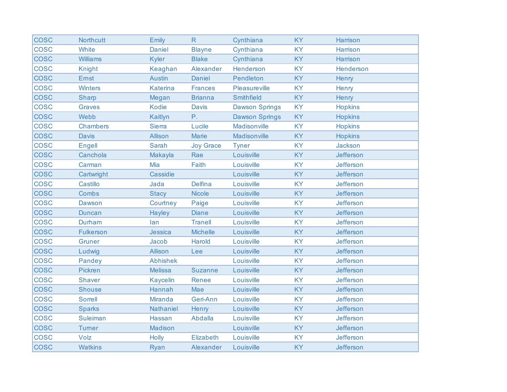| <b>COSC</b> | <b>Northcutt</b> | Emily           | R                | Cynthiana             | <b>KY</b> | Harrison       |
|-------------|------------------|-----------------|------------------|-----------------------|-----------|----------------|
| <b>COSC</b> | White            | <b>Daniel</b>   | <b>Blayne</b>    | Cynthiana             | <b>KY</b> | Harrison       |
| <b>COSC</b> | <b>Williams</b>  | <b>Kyler</b>    | <b>Blake</b>     | Cynthiana             | <b>KY</b> | Harrison       |
| <b>COSC</b> | <b>Knight</b>    | Keaghan         | Alexander        | Henderson             | <b>KY</b> | Henderson      |
| <b>COSC</b> | Ernst            | <b>Austin</b>   | <b>Daniel</b>    | Pendleton             | <b>KY</b> | Henry          |
| <b>COSC</b> | <b>Winters</b>   | Katerina        | <b>Frances</b>   | Pleasureville         | <b>KY</b> | Henry          |
| <b>COSC</b> | <b>Sharp</b>     | Megan           | <b>Brianna</b>   | Smithfield            | KY        | Henry          |
| <b>COSC</b> | <b>Graves</b>    | <b>Kodie</b>    | <b>Davis</b>     | <b>Dawson Springs</b> | <b>KY</b> | <b>Hopkins</b> |
| <b>COSC</b> | Webb             | Kaitlyn         | $P_{+}$          | <b>Dawson Springs</b> | <b>KY</b> | <b>Hopkins</b> |
| <b>COSC</b> | <b>Chambers</b>  | <b>Sierra</b>   | Lucile           | Madisonville          | <b>KY</b> | <b>Hopkins</b> |
| <b>COSC</b> | <b>Davis</b>     | <b>Allison</b>  | <b>Marie</b>     | Madisonville          | KY        | <b>Hopkins</b> |
| <b>COSC</b> | <b>Engell</b>    | <b>Sarah</b>    | <b>Joy Grace</b> | <b>Tyner</b>          | <b>KY</b> | Jackson        |
| <b>COSC</b> | Canchola         | Makayla         | Rae              | Louisville            | <b>KY</b> | Jefferson      |
| <b>COSC</b> | Carman           | Mia             | Faith            | Louisville            | <b>KY</b> | Jefferson      |
| <b>COSC</b> | Cartwright       | Cassidie        |                  | Louisville            | <b>KY</b> | Jefferson      |
| <b>COSC</b> | Castillo         | Jada            | <b>Delfina</b>   | Louisville            | <b>KY</b> | Jefferson      |
| <b>COSC</b> | Combs            | <b>Stacy</b>    | <b>Nicole</b>    | Louisville            | <b>KY</b> | Jefferson      |
| <b>COSC</b> | <b>Dawson</b>    | Courtney        | Paige            | Louisville            | <b>KY</b> | Jefferson      |
| <b>COSC</b> | <b>Duncan</b>    | <b>Hayley</b>   | <b>Diane</b>     | Louisville            | KY        | Jefferson      |
| <b>COSC</b> | <b>Durham</b>    | lan             | <b>Tranell</b>   | Louisville            | <b>KY</b> | Jefferson      |
| <b>COSC</b> | <b>Fulkerson</b> | Jessica         | <b>Michelle</b>  | Louisville            | <b>KY</b> | Jefferson      |
| <b>COSC</b> | Gruner           | Jacob           | Harold           | Louisville            | <b>KY</b> | Jefferson      |
| <b>COSC</b> | Ludwig           | <b>Allison</b>  | Lee              | Louisville            | <b>KY</b> | Jefferson      |
| <b>COSC</b> | Pandey           | <b>Abhishek</b> |                  | Louisville            | <b>KY</b> | Jefferson      |
| <b>COSC</b> | <b>Pickren</b>   | <b>Melissa</b>  | <b>Suzanne</b>   | Louisville            | <b>KY</b> | Jefferson      |
| <b>COSC</b> | <b>Shaver</b>    | <b>Kaycelin</b> | Renee            | Louisville            | <b>KY</b> | Jefferson      |
| <b>COSC</b> | <b>Shouse</b>    | Hannah          | Mae              | Louisville            | <b>KY</b> | Jefferson      |
| <b>COSC</b> | <b>Sorrell</b>   | <b>Miranda</b>  | Geri-Ann         | Louisville            | <b>KY</b> | Jefferson      |
| <b>COSC</b> | <b>Sparks</b>    | Nathaniel       | Henry            | Louisville            | <b>KY</b> | Jefferson      |
| <b>COSC</b> | <b>Suleiman</b>  | Hassan          | Abdalla          | Louisville            | <b>KY</b> | Jefferson      |
| <b>COSC</b> | <b>Turner</b>    | Madison         |                  | Louisville            | <b>KY</b> | Jefferson      |
| <b>COSC</b> | Volz             | <b>Holly</b>    | Elizabeth        | Louisville            | <b>KY</b> | Jefferson      |
| <b>COSC</b> | <b>Watkins</b>   | Ryan            | Alexander        | Louisville            | KY        | Jefferson      |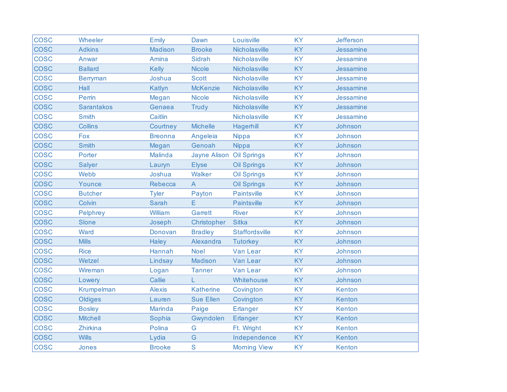| <b>COSC</b> | Wheeler           | Emily          | Dawn                     | Louisville            | <b>KY</b> | Jefferson |
|-------------|-------------------|----------------|--------------------------|-----------------------|-----------|-----------|
| <b>COSC</b> | <b>Adkins</b>     | <b>Madison</b> | <b>Brooke</b>            | Nicholasville         | <b>KY</b> | Jessamine |
| <b>COSC</b> | Anwar             | Amina          | Sidrah                   | Nicholasville         | <b>KY</b> | Jessamine |
| <b>COSC</b> | <b>Ballard</b>    | <b>Kelly</b>   | <b>Nicole</b>            | Nicholasville         | <b>KY</b> | Jessamine |
| <b>COSC</b> | <b>Berryman</b>   | Joshua         | <b>Scott</b>             | Nicholasville         | <b>KY</b> | Jessamine |
| <b>COSC</b> | Hall              | Katlyn         | <b>McKenzie</b>          | Nicholasville         | <b>KY</b> | Jessamine |
| <b>COSC</b> | Perrin            | Megan          | <b>Nicole</b>            | Nicholasville         | <b>KY</b> | Jessamine |
| <b>COSC</b> | <b>Sarantakos</b> | Genaea         | <b>Trudy</b>             | Nicholasville         | <b>KY</b> | Jessamine |
| <b>COSC</b> | <b>Smith</b>      | Caitlin        |                          | Nicholasville         | <b>KY</b> | Jessamine |
| <b>COSC</b> | <b>Collins</b>    | Courtney       | <b>Michelle</b>          | Hagerhill             | <b>KY</b> | Johnson   |
| <b>COSC</b> | Fox               | <b>Breonna</b> | Angeleia                 | <b>Nippa</b>          | <b>KY</b> | Johnson   |
| <b>COSC</b> | <b>Smith</b>      | Megan          | Genoah                   | <b>Nippa</b>          | <b>KY</b> | Johnson   |
| <b>COSC</b> | Porter            | Malinda        | Jayne Alison Oil Springs |                       | <b>KY</b> | Johnson   |
| <b>COSC</b> | <b>Salyer</b>     | Lauryn         | <b>Elyse</b>             | <b>Oil Springs</b>    | <b>KY</b> | Johnson   |
| <b>COSC</b> | Webb              | Joshua         | Walker                   | <b>Oil Springs</b>    | <b>KY</b> | Johnson   |
| <b>COSC</b> | Younce            | <b>Rebecca</b> | $\mathsf{A}$             | <b>Oil Springs</b>    | <b>KY</b> | Johnson   |
| <b>COSC</b> | <b>Butcher</b>    | <b>Tyler</b>   | Payton                   | Paintsville           | <b>KY</b> | Johnson   |
| <b>COSC</b> | Colvin            | <b>Sarah</b>   | E                        | <b>Paintsville</b>    | <b>KY</b> | Johnson   |
| <b>COSC</b> | Pelphrey          | William        | Garrett                  | <b>River</b>          | <b>KY</b> | Johnson   |
| <b>COSC</b> | Slone             | Joseph         | Christopher              | <b>Sitka</b>          | <b>KY</b> | Johnson   |
| <b>COSC</b> | Ward              | Donovan        | <b>Bradley</b>           | <b>Staffordsville</b> | <b>KY</b> | Johnson   |
| <b>COSC</b> | <b>Mills</b>      | Haley          | Alexandra                | <b>Tutorkey</b>       | <b>KY</b> | Johnson   |
| <b>COSC</b> | <b>Rice</b>       | Hannah         | <b>Noel</b>              | Van Lear              | <b>KY</b> | Johnson   |
| <b>COSC</b> | Wetzel            | Lindsay        | Madison                  | Van Lear              | <b>KY</b> | Johnson   |
| <b>COSC</b> | Wireman           | Logan          | <b>Tanner</b>            | Van Lear              | <b>KY</b> | Johnson   |
| <b>COSC</b> | Lowery            | Callie         | L.                       | Whitehouse            | <b>KY</b> | Johnson   |
| <b>COSC</b> | Krumpelman        | <b>Alexis</b>  | <b>Katherine</b>         | Covington             | <b>KY</b> | Kenton    |
| <b>COSC</b> | Oldiges           | Lauren         | <b>Sue Ellen</b>         | Covington             | <b>KY</b> | Kenton    |
| <b>COSC</b> | <b>Bosley</b>     | <b>Marinda</b> | Paige                    | <b>Erlanger</b>       | <b>KY</b> | Kenton    |
| <b>COSC</b> | <b>Mitchell</b>   | Sophia         | Gwyndolen                | <b>Erlanger</b>       | <b>KY</b> | Kenton    |
| <b>COSC</b> | <b>Zhirkina</b>   | Polina         | G                        | Ft. Wright            | <b>KY</b> | Kenton    |
| <b>COSC</b> | <b>Wills</b>      | Lydia          | G                        | Independence          | <b>KY</b> | Kenton    |
| <b>COSC</b> | Jones             | <b>Brooke</b>  | S                        | <b>Morning View</b>   | <b>KY</b> | Kenton    |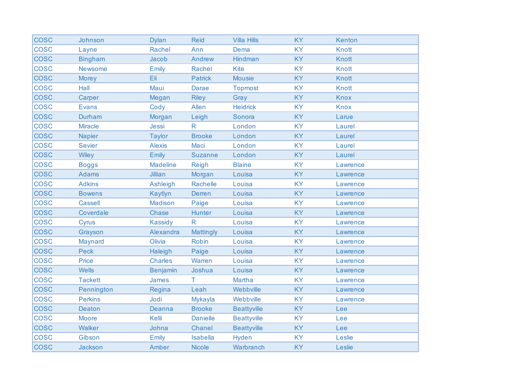| <b>COSC</b> | Johnson        | <b>Dylan</b>    | <b>Reid</b>     | <b>Villa Hills</b> | <b>KY</b> | Kenton       |
|-------------|----------------|-----------------|-----------------|--------------------|-----------|--------------|
| <b>COSC</b> | Layne          | Rachel          | Ann             | Dema               | <b>KY</b> | <b>Knott</b> |
| <b>COSC</b> | <b>Bingham</b> | Jacob           | Andrew          | Hindman            | <b>KY</b> | <b>Knott</b> |
| <b>COSC</b> | Newsome        | Emily           | <b>Rachel</b>   | <b>Kite</b>        | <b>KY</b> | <b>Knott</b> |
| <b>COSC</b> | <b>Morey</b>   | Eli             | <b>Patrick</b>  | <b>Mousie</b>      | <b>KY</b> | <b>Knott</b> |
| <b>COSC</b> | Hall           | Maui            | <b>Darae</b>    | <b>Topmost</b>     | <b>KY</b> | <b>Knott</b> |
| <b>COSC</b> | Carper         | Megan           | <b>Riley</b>    | Gray               | <b>KY</b> | <b>Knox</b>  |
| <b>COSC</b> | <b>Evans</b>   | Cody            | Allen           | <b>Heidrick</b>    | <b>KY</b> | <b>Knox</b>  |
| <b>COSC</b> | Durham         | Morgan          | Leigh           | Sonora             | <b>KY</b> | Larue        |
| <b>COSC</b> | <b>Miracle</b> | Jessi           | $\mathsf{R}$    | London             | <b>KY</b> | Laurel       |
| <b>COSC</b> | <b>Napier</b>  | <b>Taylor</b>   | <b>Brooke</b>   | London             | KY        | Laurel       |
| <b>COSC</b> | <b>Sevier</b>  | <b>Alexis</b>   | Maci            | London             | <b>KY</b> | Laurel       |
| <b>COSC</b> | <b>Wiley</b>   | Emily           | <b>Suzanne</b>  | London             | <b>KY</b> | Laurel       |
| <b>COSC</b> | <b>Boggs</b>   | <b>Madeline</b> | Reigh           | <b>Blaine</b>      | <b>KY</b> | Lawrence     |
| <b>COSC</b> | <b>Adams</b>   | Jillian         | Morgan          | Louisa             | <b>KY</b> | Lawrence     |
| <b>COSC</b> | <b>Adkins</b>  | Ashleigh        | Rachelle        | Louisa             | <b>KY</b> | Lawrence     |
| <b>COSC</b> | <b>Bowens</b>  | Kaytlyn         | <b>Derren</b>   | Louisa             | <b>KY</b> | Lawrence     |
| <b>COSC</b> | <b>Cassell</b> | Madison         | Paige           | Louisa             | <b>KY</b> | Lawrence     |
| <b>COSC</b> | Coverdale      | <b>Chase</b>    | <b>Hunter</b>   | Louisa             | <b>KY</b> | Lawrence     |
| <b>COSC</b> | Cyrus          | <b>Kassidy</b>  | R               | Louisa             | <b>KY</b> | Lawrence     |
| <b>COSC</b> | Grayson        | Alexandra       | Mattingly       | Louisa             | <b>KY</b> | Lawrence     |
| <b>COSC</b> | Maynard        | Olivia          | <b>Robin</b>    | Louisa             | <b>KY</b> | Lawrence     |
| <b>COSC</b> | <b>Peck</b>    | Haleigh         | Paige           | Louisa             | <b>KY</b> | Lawrence     |
| <b>COSC</b> | Price          | <b>Charles</b>  | Warren          | Louisa             | <b>KY</b> | Lawrence     |
| <b>COSC</b> | <b>Wells</b>   | <b>Benjamin</b> | Joshua          | Louisa             | <b>KY</b> | Lawrence     |
| <b>COSC</b> | <b>Tackett</b> | James           | Τ               | Martha             | <b>KY</b> | Lawrence     |
| <b>COSC</b> | Pennington     | Regina          | Leah            | Webbville          | <b>KY</b> | Lawrence     |
| <b>COSC</b> | <b>Perkins</b> | Jodi            | Mykayla         | Webbville          | <b>KY</b> | Lawrence     |
| <b>COSC</b> | <b>Deaton</b>  | Deanna          | <b>Brooke</b>   | <b>Beattyville</b> | <b>KY</b> | Lee          |
| <b>COSC</b> | <b>Moore</b>   | Kelli           | <b>Danielle</b> | <b>Beattyville</b> | <b>KY</b> | Lee          |
| <b>COSC</b> | <b>Walker</b>  | Johna           | <b>Chanel</b>   | <b>Beattyville</b> | <b>KY</b> | Lee          |
| <b>COSC</b> | Gibson         | Emily           | Isabella        | Hyden              | <b>KY</b> | Leslie       |
| <b>COSC</b> | <b>Jackson</b> | Amber           | <b>Nicole</b>   | Warbranch          | KY        | Leslie       |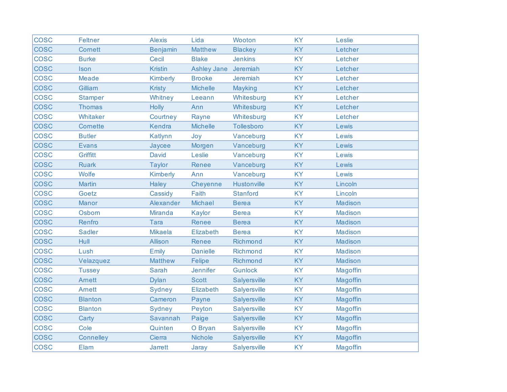| <b>COSC</b> | <b>Feltner</b>   | <b>Alexis</b>   | Lida               | Wooton              | <b>KY</b> | Leslie          |
|-------------|------------------|-----------------|--------------------|---------------------|-----------|-----------------|
| <b>COSC</b> | <b>Cornett</b>   | <b>Benjamin</b> | <b>Matthew</b>     | <b>Blackey</b>      | <b>KY</b> | Letcher         |
| <b>COSC</b> | <b>Burke</b>     | Cecil           | <b>Blake</b>       | <b>Jenkins</b>      | <b>KY</b> | Letcher         |
| <b>COSC</b> | Ison             | <b>Kristin</b>  | <b>Ashley Jane</b> | Jeremiah            | <b>KY</b> | Letcher         |
| <b>COSC</b> | <b>Meade</b>     | Kimberly        | <b>Brooke</b>      | Jeremiah            | <b>KY</b> | Letcher         |
| <b>COSC</b> | Gilliam          | <b>Kristy</b>   | <b>Michelle</b>    | Mayking             | <b>KY</b> | Letcher         |
| <b>COSC</b> | <b>Stamper</b>   | Whitney         | Leeann             | Whitesburg          | <b>KY</b> | Letcher         |
| <b>COSC</b> | <b>Thomas</b>    | <b>Holly</b>    | Ann                | Whitesburg          | <b>KY</b> | Letcher         |
| <b>COSC</b> | Whitaker         | Courtney        | Rayne              | Whitesburg          | <b>KY</b> | Letcher         |
| <b>COSC</b> | <b>Cornette</b>  | Kendra          | <b>Michelle</b>    | Tollesboro          | <b>KY</b> | Lewis           |
| <b>COSC</b> | <b>Butler</b>    | Katlynn         | Joy                | Vanceburg           | <b>KY</b> | Lewis           |
| <b>COSC</b> | <b>Evans</b>     | Jaycee          | Morgen             | Vanceburg           | KY        | Lewis           |
| <b>COSC</b> | Griffitt         | <b>David</b>    | Leslie             | Vanceburg           | <b>KY</b> | Lewis           |
| <b>COSC</b> | <b>Ruark</b>     | <b>Taylor</b>   | Renee              | Vanceburg           | <b>KY</b> | Lewis           |
| <b>COSC</b> | <b>Wolfe</b>     | <b>Kimberly</b> | Ann                | Vanceburg           | <b>KY</b> | Lewis           |
| <b>COSC</b> | <b>Martin</b>    | <b>Haley</b>    | Cheyenne           | Hustonville         | <b>KY</b> | Lincoln         |
| <b>COSC</b> | Goetz            | Cassidy         | Faith              | <b>Stanford</b>     | <b>KY</b> | Lincoln         |
| <b>COSC</b> | <b>Manor</b>     | Alexander       | Michael            | <b>Berea</b>        | <b>KY</b> | <b>Madison</b>  |
| <b>COSC</b> | Osborn           | <b>Miranda</b>  | Kaylor             | <b>Berea</b>        | <b>KY</b> | <b>Madison</b>  |
| <b>COSC</b> | Renfro           | <b>Tara</b>     | Renee              | <b>Berea</b>        | KY        | <b>Madison</b>  |
| <b>COSC</b> | <b>Sadler</b>    | <b>Mikaela</b>  | Elizabeth          | <b>Berea</b>        | <b>KY</b> | <b>Madison</b>  |
| <b>COSC</b> | Hull             | Allison         | Renee              | Richmond            | <b>KY</b> | <b>Madison</b>  |
| <b>COSC</b> | Lush             | Emily           | <b>Danielle</b>    | Richmond            | <b>KY</b> | Madison         |
| <b>COSC</b> | Velazquez        | <b>Matthew</b>  | Felipe             | Richmond            | <b>KY</b> | Madison         |
| <b>COSC</b> | <b>Tussey</b>    | <b>Sarah</b>    | <b>Jennifer</b>    | <b>Gunlock</b>      | <b>KY</b> | <b>Magoffin</b> |
| <b>COSC</b> | <b>Amett</b>     | <b>Dylan</b>    | <b>Scott</b>       | Salyersville        | <b>KY</b> | Magoffin        |
| <b>COSC</b> | <b>Amett</b>     | Sydney          | Elizabeth          | Salyersville        | <b>KY</b> | Magoffin        |
| <b>COSC</b> | <b>Blanton</b>   | Cameron         | Payne              | Salyersville        | <b>KY</b> | Magoffin        |
| <b>COSC</b> | <b>Blanton</b>   | Sydney          | Peyton             | Salyersville        | <b>KY</b> | Magoffin        |
| <b>COSC</b> | Carty            | Savannah        | Paige              | Salyersville        | KY        | Magoffin        |
| <b>COSC</b> | Cole             | Quinten         | O Bryan            | Salyersville        | <b>KY</b> | Magoffin        |
| <b>COSC</b> | <b>Connelley</b> | Cierra          | <b>Nichole</b>     | Salyersville        | <b>KY</b> | Magoffin        |
| <b>COSC</b> | Elam             | <b>Jarrett</b>  | Jaray              | <b>Salyersville</b> | <b>KY</b> | Magoffin        |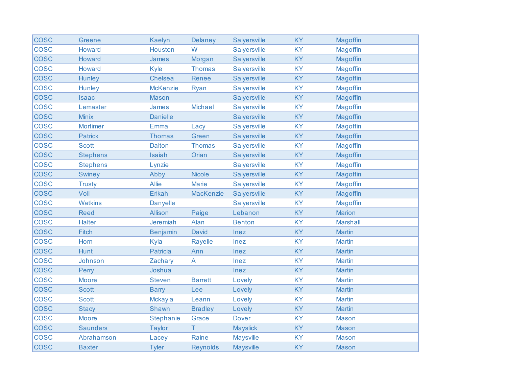| <b>COSC</b> | <b>Greene</b>   | Kaelyn           | Delaney          | Salyersville     | <b>KY</b> | Magoffin        |
|-------------|-----------------|------------------|------------------|------------------|-----------|-----------------|
| <b>COSC</b> | Howard          | Houston          | W                | Salyersville     | <b>KY</b> | Magoffin        |
| <b>COSC</b> | Howard          | <b>James</b>     | Morgan           | Salyersville     | KY        | Magoffin        |
| <b>COSC</b> | Howard          | Kyle             | <b>Thomas</b>    | Salyersville     | <b>KY</b> | Magoffin        |
| <b>COSC</b> | Hunley          | Chelsea          | Renee            | Salyersville     | KY        | Magoffin        |
| <b>COSC</b> | <b>Hunley</b>   | <b>McKenzie</b>  | <b>Ryan</b>      | Salyersville     | <b>KY</b> | Magoffin        |
| <b>COSC</b> | <b>Isaac</b>    | <b>Mason</b>     |                  | Salyersville     | KY        | Magoffin        |
| <b>COSC</b> | Lemaster        | <b>James</b>     | <b>Michael</b>   | Salyersville     | <b>KY</b> | Magoffin        |
| <b>COSC</b> | <b>Minix</b>    | <b>Danielle</b>  |                  | Salyersville     | KY        | Magoffin        |
| <b>COSC</b> | Mortimer        | Emma             | Lacy             | Salyersville     | <b>KY</b> | Magoffin        |
| <b>COSC</b> | <b>Patrick</b>  | <b>Thomas</b>    | Green            | Salyersville     | KY        | Magoffin        |
| <b>COSC</b> | <b>Scott</b>    | <b>Dalton</b>    | <b>Thomas</b>    | Salyersville     | KY        | <b>Magoffin</b> |
| <b>COSC</b> | <b>Stephens</b> | Isaiah           | Orian            | Salyersville     | <b>KY</b> | Magoffin        |
| <b>COSC</b> | <b>Stephens</b> | Lynzie           |                  | Salyersville     | <b>KY</b> | Magoffin        |
| <b>COSC</b> | <b>Swiney</b>   | Abby             | <b>Nicole</b>    | Salyersville     | KY        | Magoffin        |
| <b>COSC</b> | <b>Trusty</b>   | <b>Allie</b>     | <b>Marie</b>     | Salyersville     | <b>KY</b> | <b>Magoffin</b> |
| <b>COSC</b> | Voll            | Erikah           | <b>MacKenzie</b> | Salyersville     | <b>KY</b> | Magoffin        |
| <b>COSC</b> | <b>Watkins</b>  | <b>Danyelle</b>  |                  | Salyersville     | <b>KY</b> | Magoffin        |
| <b>COSC</b> | <b>Reed</b>     | <b>Allison</b>   | Paige            | Lebanon          | KY        | <b>Marion</b>   |
| <b>COSC</b> | <b>Halter</b>   | <b>Jeremiah</b>  | Alan             | <b>Benton</b>    | <b>KY</b> | <b>Marshall</b> |
| <b>COSC</b> | <b>Fitch</b>    | <b>Benjamin</b>  | <b>David</b>     | Inez             | <b>KY</b> | <b>Martin</b>   |
| <b>COSC</b> | Horn            | Kyla             | Rayelle          | Inez             | <b>KY</b> | <b>Martin</b>   |
| <b>COSC</b> | Hunt            | Patricia         | Ann              | Inez             | KY        | <b>Martin</b>   |
| <b>COSC</b> | Johnson         | Zachary          | A                | Inez             | <b>KY</b> | <b>Martin</b>   |
| <b>COSC</b> | Perry           | Joshua           |                  | Inez             | <b>KY</b> | <b>Martin</b>   |
| <b>COSC</b> | <b>Moore</b>    | <b>Steven</b>    | <b>Barrett</b>   | Lovely           | <b>KY</b> | <b>Martin</b>   |
| <b>COSC</b> | <b>Scott</b>    | <b>Barry</b>     | Lee              | Lovely           | KY        | <b>Martin</b>   |
| <b>COSC</b> | <b>Scott</b>    | Mckayla          | Leann            | Lovely           | <b>KY</b> | <b>Martin</b>   |
| <b>COSC</b> | <b>Stacy</b>    | <b>Shawn</b>     | <b>Bradley</b>   | Lovely           | <b>KY</b> | <b>Martin</b>   |
| <b>COSC</b> | <b>Moore</b>    | <b>Stephanie</b> | Grace            | <b>Dover</b>     | <b>KY</b> | <b>Mason</b>    |
| <b>COSC</b> | <b>Saunders</b> | <b>Taylor</b>    | Τ                | <b>Mayslick</b>  | <b>KY</b> | <b>Mason</b>    |
| <b>COSC</b> | Abrahamson      | Lacey            | Raine            | <b>Maysville</b> | <b>KY</b> | <b>Mason</b>    |
| <b>COSC</b> | <b>Baxter</b>   | <b>Tyler</b>     | <b>Reynolds</b>  | <b>Maysville</b> | <b>KY</b> | <b>Mason</b>    |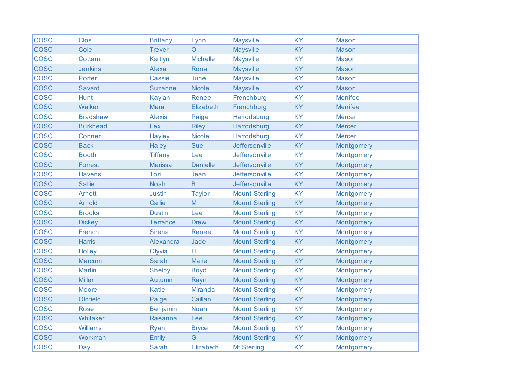| <b>COSC</b> | <b>Clos</b>     | <b>Brittany</b> | Lynn             | <b>Maysville</b>      | <b>KY</b> | <b>Mason</b>      |
|-------------|-----------------|-----------------|------------------|-----------------------|-----------|-------------------|
| <b>COSC</b> | Cole            | <b>Trever</b>   | $\Omega$         | <b>Maysville</b>      | <b>KY</b> | <b>Mason</b>      |
| <b>COSC</b> | Cottam          | Kaitlyn         | <b>Michelle</b>  | <b>Maysville</b>      | <b>KY</b> | <b>Mason</b>      |
| <b>COSC</b> | <b>Jenkins</b>  | Alexa           | Rona             | <b>Maysville</b>      | KY        | <b>Mason</b>      |
| <b>COSC</b> | Porter          | Cassie          | June             | <b>Maysville</b>      | <b>KY</b> | <b>Mason</b>      |
| <b>COSC</b> | <b>Savard</b>   | <b>Suzanne</b>  | <b>Nicole</b>    | <b>Maysville</b>      | <b>KY</b> | <b>Mason</b>      |
| <b>COSC</b> | Hunt            | <b>Kaylan</b>   | Renee            | Frenchburg            | <b>KY</b> | <b>Menifee</b>    |
| <b>COSC</b> | Walker          | Mara            | Elizabeth        | Frenchburg            | <b>KY</b> | <b>Menifee</b>    |
| <b>COSC</b> | <b>Bradshaw</b> | <b>Alexis</b>   | Paige            | Harrodsburg           | <b>KY</b> | <b>Mercer</b>     |
| <b>COSC</b> | <b>Burkhead</b> | Lex             | <b>Riley</b>     | Harrodsburg           | <b>KY</b> | <b>Mercer</b>     |
| <b>COSC</b> | <b>Conner</b>   | Hayley          | <b>Nicole</b>    | Harrodsburg           | <b>KY</b> | <b>Mercer</b>     |
| <b>COSC</b> | <b>Back</b>     | Haley           | <b>Sue</b>       | Jeffersonville        | <b>KY</b> | <b>Montgomery</b> |
| <b>COSC</b> | <b>Booth</b>    | <b>Tiffany</b>  | Lee              | Jeffersonville        | <b>KY</b> | Montgomery        |
| <b>COSC</b> | Forrest         | <b>Marissa</b>  | <b>Danielle</b>  | Jeffersonville        | <b>KY</b> | Montgomery        |
| <b>COSC</b> | <b>Havens</b>   | Tori            | Jean             | Jeffersonville        | <b>KY</b> | Montgomery        |
| <b>COSC</b> | <b>Sallie</b>   | <b>Noah</b>     | $\mathsf B$      | Jeffersonville        | <b>KY</b> | Montgomery        |
| <b>COSC</b> | <b>Amett</b>    | <b>Justin</b>   | <b>Taylor</b>    | <b>Mount Sterling</b> | <b>KY</b> | Montgomery        |
| <b>COSC</b> | Arnold          | Callie          | M                | <b>Mount Sterling</b> | KY        | Montgomery        |
| <b>COSC</b> | <b>Brooks</b>   | <b>Dustin</b>   | Lee              | <b>Mount Sterling</b> | <b>KY</b> | Montgomery        |
| <b>COSC</b> | <b>Dickey</b>   | <b>Terrance</b> | <b>Drew</b>      | <b>Mount Sterling</b> | <b>KY</b> | Montgomery        |
| <b>COSC</b> | French          | <b>Sirena</b>   | Renee            | <b>Mount Sterling</b> | <b>KY</b> | Montgomery        |
| <b>COSC</b> | <b>Harris</b>   | Alexandra       | Jade             | <b>Mount Sterling</b> | KY        | Montgomery        |
| <b>COSC</b> | Holley          | Olyvia          | Η.               | <b>Mount Sterling</b> | <b>KY</b> | Montgomery        |
| <b>COSC</b> | Marcum          | Sarah           | Marie            | <b>Mount Sterling</b> | KY        | Montgomery        |
| <b>COSC</b> | <b>Martin</b>   | <b>Shelby</b>   | <b>Boyd</b>      | <b>Mount Sterling</b> | <b>KY</b> | Montgomery        |
| <b>COSC</b> | <b>Miller</b>   | Autumn          | Rayn             | <b>Mount Sterling</b> | KY        | Montgomery        |
| <b>COSC</b> | <b>Moore</b>    | <b>Katie</b>    | <b>Miranda</b>   | <b>Mount Sterling</b> | <b>KY</b> | Montgomery        |
| <b>COSC</b> | Oldfield        | Paige           | Caillan          | <b>Mount Sterling</b> | KY        | Montgomery        |
| <b>COSC</b> | <b>Rose</b>     | <b>Benjamin</b> | <b>Noah</b>      | <b>Mount Sterling</b> | <b>KY</b> | Montgomery        |
| <b>COSC</b> | Whitaker        | Raeanna         | Lee              | <b>Mount Sterling</b> | <b>KY</b> | Montgomery        |
| <b>COSC</b> | <b>Williams</b> | Ryan            | <b>Bryce</b>     | <b>Mount Sterling</b> | <b>KY</b> | Montgomery        |
| <b>COSC</b> | Workman         | Emily           | G                | <b>Mount Sterling</b> | <b>KY</b> | Montgomery        |
| <b>COSC</b> | Day             | <b>Sarah</b>    | <b>Elizabeth</b> | <b>Mt Sterling</b>    | KY        | Montgomery        |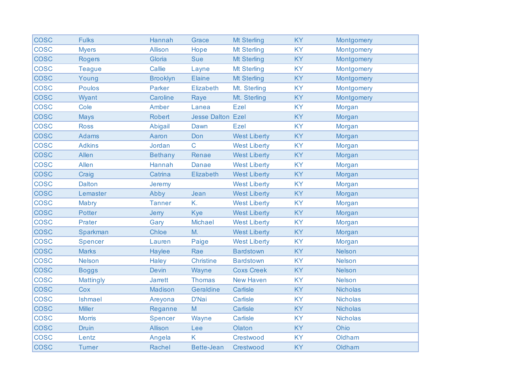| <b>COSC</b> | <b>Fulks</b>     | Hannah          | Grace                    | <b>Mt Sterling</b>  | <b>KY</b> | Montgomery      |
|-------------|------------------|-----------------|--------------------------|---------------------|-----------|-----------------|
| <b>COSC</b> | <b>Myers</b>     | <b>Allison</b>  | Hope                     | <b>Mt Sterling</b>  | <b>KY</b> | Montgomery      |
| <b>COSC</b> | <b>Rogers</b>    | Gloria          | <b>Sue</b>               | <b>Mt Sterling</b>  | KY        | Montgomery      |
| <b>COSC</b> | <b>Teague</b>    | Callie          | Layne                    | <b>Mt Sterling</b>  | KY        | Montgomery      |
| <b>COSC</b> | Young            | <b>Brooklyn</b> | Elaine                   | <b>Mt Sterling</b>  | <b>KY</b> | Montgomery      |
| <b>COSC</b> | <b>Poulos</b>    | Parker          | Elizabeth                | Mt. Sterling        | <b>KY</b> | Montgomery      |
| <b>COSC</b> | Wyant            | Caroline        | Raye                     | Mt. Sterling        | <b>KY</b> | Montgomery      |
| <b>COSC</b> | Cole             | Amber           | Lanea                    | Ezel                | <b>KY</b> | Morgan          |
| <b>COSC</b> | <b>Mays</b>      | Robert          | <b>Jesse Dalton Ezel</b> |                     | <b>KY</b> | Morgan          |
| <b>COSC</b> | <b>Ross</b>      | Abigail         | Dawn                     | Ezel                | <b>KY</b> | Morgan          |
| <b>COSC</b> | <b>Adams</b>     | Aaron           | Don                      | <b>West Liberty</b> | <b>KY</b> | Morgan          |
| <b>COSC</b> | <b>Adkins</b>    | Jordan          | $\mathsf{C}$             | <b>West Liberty</b> | <b>KY</b> | Morgan          |
| <b>COSC</b> | Allen            | <b>Bethany</b>  | Renae                    | <b>West Liberty</b> | <b>KY</b> | Morgan          |
| <b>COSC</b> | Allen            | Hannah          | <b>Danae</b>             | <b>West Liberty</b> | <b>KY</b> | Morgan          |
| <b>COSC</b> | Craig            | Catrina         | <b>Elizabeth</b>         | <b>West Liberty</b> | KY        | Morgan          |
| <b>COSC</b> | <b>Dalton</b>    | Jeremy          |                          | <b>West Liberty</b> | KY        | Morgan          |
| <b>COSC</b> | Lemaster         | Abby            | Jean                     | <b>West Liberty</b> | <b>KY</b> | Morgan          |
| <b>COSC</b> | Mabry            | <b>Tanner</b>   | K.                       | <b>West Liberty</b> | <b>KY</b> | Morgan          |
| <b>COSC</b> | <b>Potter</b>    | Jerry           | Kye                      | <b>West Liberty</b> | KY        | Morgan          |
| <b>COSC</b> | Prater           | Gary            | <b>Michael</b>           | <b>West Liberty</b> | <b>KY</b> | Morgan          |
| <b>COSC</b> | Sparkman         | Chloe           | M.                       | <b>West Liberty</b> | <b>KY</b> | Morgan          |
| <b>COSC</b> | Spencer          | Lauren          | Paige                    | <b>West Liberty</b> | <b>KY</b> | Morgan          |
| <b>COSC</b> | <b>Marks</b>     | Haylee          | Rae                      | <b>Bardstown</b>    | <b>KY</b> | <b>Nelson</b>   |
| <b>COSC</b> | <b>Nelson</b>    | Haley           | <b>Christine</b>         | <b>Bardstown</b>    | <b>KY</b> | <b>Nelson</b>   |
| <b>COSC</b> | <b>Boggs</b>     | <b>Devin</b>    | Wayne                    | <b>Coxs Creek</b>   | <b>KY</b> | <b>Nelson</b>   |
| <b>COSC</b> | <b>Mattingly</b> | <b>Jarrett</b>  | <b>Thomas</b>            | <b>New Haven</b>    | <b>KY</b> | <b>Nelson</b>   |
| <b>COSC</b> | Cox              | <b>Madison</b>  | Geraldine                | Carlisle            | <b>KY</b> | <b>Nicholas</b> |
| <b>COSC</b> | Ishmael          | Areyona         | D'Nai                    | Carlisle            | <b>KY</b> | <b>Nicholas</b> |
| <b>COSC</b> | <b>Miller</b>    | Reganne         | M                        | Carlisle            | <b>KY</b> | <b>Nicholas</b> |
| <b>COSC</b> | <b>Morris</b>    | Spencer         | Wayne                    | Carlisle            | <b>KY</b> | <b>Nicholas</b> |
| <b>COSC</b> | <b>Druin</b>     | Allison         | Lee                      | Olaton              | <b>KY</b> | Ohio            |
| <b>COSC</b> | Lentz            | Angela          | K                        | Crestwood           | <b>KY</b> | Oldham          |
| <b>COSC</b> | <b>Turner</b>    | Rachel          | <b>Bette-Jean</b>        | Crestwood           | KY        | Oldham          |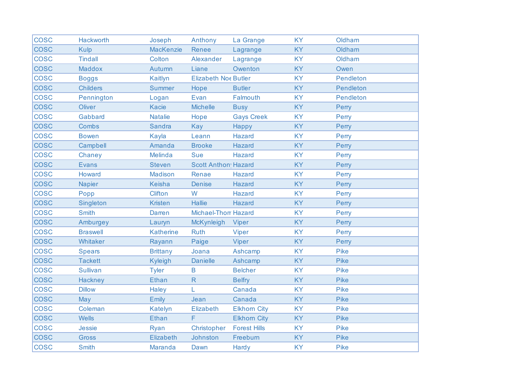| <b>COSC</b> | Hackworth       | Joseph           | Anthony                     | La Grange           | <b>KY</b> | Oldham      |
|-------------|-----------------|------------------|-----------------------------|---------------------|-----------|-------------|
| <b>COSC</b> | <b>Kulp</b>     | <b>MacKenzie</b> | Renee                       | Lagrange            | <b>KY</b> | Oldham      |
| <b>COSC</b> | <b>Tindall</b>  | Colton           | Alexander                   | Lagrange            | <b>KY</b> | Oldham      |
| <b>COSC</b> | <b>Maddox</b>   | Autumn           | Liane                       | Owenton             | <b>KY</b> | Owen        |
| <b>COSC</b> | <b>Boggs</b>    | Kaitlyn          | <b>Elizabeth Noe Butler</b> |                     | <b>KY</b> | Pendleton   |
| <b>COSC</b> | <b>Childers</b> | <b>Summer</b>    | Hope                        | <b>Butler</b>       | <b>KY</b> | Pendleton   |
| <b>COSC</b> | Pennington      | Logan            | Evan                        | Falmouth            | <b>KY</b> | Pendleton   |
| <b>COSC</b> | Oliver          | <b>Kacie</b>     | <b>Michelle</b>             | <b>Busy</b>         | <b>KY</b> | Perry       |
| <b>COSC</b> | Gabbard         | <b>Natalie</b>   | Hope                        | <b>Gays Creek</b>   | <b>KY</b> | Perry       |
| <b>COSC</b> | Combs           | <b>Sandra</b>    | Kay                         | Happy               | <b>KY</b> | Perry       |
| <b>COSC</b> | <b>Bowen</b>    | Kayla            | Leann                       | <b>Hazard</b>       | <b>KY</b> | Perry       |
| <b>COSC</b> | Campbell        | Amanda           | <b>Brooke</b>               | <b>Hazard</b>       | <b>KY</b> | Perry       |
| <b>COSC</b> | Chaney          | Melinda          | Sue                         | <b>Hazard</b>       | <b>KY</b> | Perry       |
| <b>COSC</b> | <b>Evans</b>    | <b>Steven</b>    | <b>Scott Anthon Hazard</b>  |                     | <b>KY</b> | Perry       |
| <b>COSC</b> | Howard          | Madison          | Renae                       | <b>Hazard</b>       | <b>KY</b> | Perry       |
| <b>COSC</b> | <b>Napier</b>   | <b>Keisha</b>    | <b>Denise</b>               | <b>Hazard</b>       | <b>KY</b> | Perry       |
| <b>COSC</b> | Popp            | <b>Clifton</b>   | W                           | Hazard              | <b>KY</b> | Perry       |
| <b>COSC</b> | Singleton       | <b>Kristen</b>   | <b>Hallie</b>               | <b>Hazard</b>       | <b>KY</b> | Perry       |
| <b>COSC</b> | <b>Smith</b>    | Darren           | <b>Michael-Thor Hazard</b>  |                     | <b>KY</b> | Perry       |
| <b>COSC</b> | Amburgey        | Lauryn           | McKynleigh                  | <b>Viper</b>        | <b>KY</b> | Perry       |
| <b>COSC</b> | <b>Braswell</b> | <b>Katherine</b> | <b>Ruth</b>                 | <b>Viper</b>        | <b>KY</b> | Perry       |
| <b>COSC</b> | Whitaker        | Rayann           | Paige                       | Viper               | <b>KY</b> | Perry       |
| <b>COSC</b> | <b>Spears</b>   | <b>Brittany</b>  | Joana                       | Ashcamp             | <b>KY</b> | <b>Pike</b> |
| <b>COSC</b> | <b>Tackett</b>  | <b>Kyleigh</b>   | <b>Danielle</b>             | Ashcamp             | <b>KY</b> | <b>Pike</b> |
| <b>COSC</b> | <b>Sullivan</b> | <b>Tyler</b>     | B                           | <b>Belcher</b>      | <b>KY</b> | Pike        |
| <b>COSC</b> | Hackney         | <b>Ethan</b>     | $\mathsf{R}$                | <b>Belfry</b>       | <b>KY</b> | <b>Pike</b> |
| <b>COSC</b> | <b>Dillow</b>   | Haley            | L                           | Canada              | <b>KY</b> | <b>Pike</b> |
| <b>COSC</b> | May             | <b>Emily</b>     | Jean                        | Canada              | <b>KY</b> | Pike        |
| <b>COSC</b> | Coleman         | Katelyn          | Elizabeth                   | <b>Elkhorn City</b> | <b>KY</b> | <b>Pike</b> |
| <b>COSC</b> | <b>Wells</b>    | <b>Ethan</b>     | F                           | <b>Elkhorn City</b> | <b>KY</b> | <b>Pike</b> |
| <b>COSC</b> | <b>Jessie</b>   | Ryan             | Christopher                 | <b>Forest Hills</b> | <b>KY</b> | <b>Pike</b> |
| <b>COSC</b> | Gross           | Elizabeth        | Johnston                    | Freeburn            | <b>KY</b> | <b>Pike</b> |
| <b>COSC</b> | <b>Smith</b>    | Maranda          | Dawn                        | Hardy               | <b>KY</b> | <b>Pike</b> |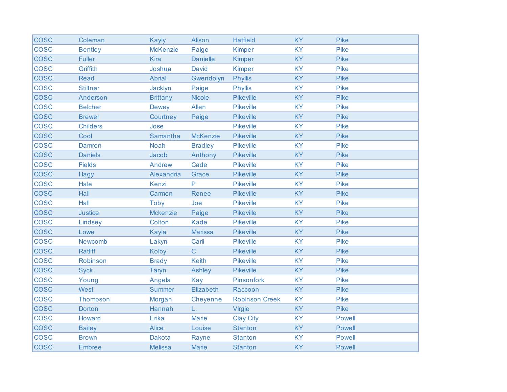| <b>COSC</b> | Coleman         | <b>Kayly</b>    | Alison          | <b>Hatfield</b>       | <b>KY</b> | <b>Pike</b>   |
|-------------|-----------------|-----------------|-----------------|-----------------------|-----------|---------------|
| <b>COSC</b> | <b>Bentley</b>  | <b>McKenzie</b> | Paige           | <b>Kimper</b>         | <b>KY</b> | Pike          |
| <b>COSC</b> | <b>Fuller</b>   | Kira            | <b>Danielle</b> | <b>Kimper</b>         | <b>KY</b> | Pike          |
| <b>COSC</b> | Griffith        | Joshua          | <b>David</b>    | <b>Kimper</b>         | <b>KY</b> | Pike          |
| <b>COSC</b> | Read            | Abrial          | Gwendolyn       | <b>Phyllis</b>        | <b>KY</b> | Pike          |
| <b>COSC</b> | <b>Stiltner</b> | Jacklyn         | Paige           | <b>Phyllis</b>        | <b>KY</b> | Pike          |
| <b>COSC</b> | Anderson        | <b>Brittany</b> | <b>Nicole</b>   | <b>Pikeville</b>      | <b>KY</b> | Pike          |
| <b>COSC</b> | <b>Belcher</b>  | <b>Dewey</b>    | Allen           | <b>Pikeville</b>      | <b>KY</b> | Pike          |
| <b>COSC</b> | <b>Brewer</b>   | Courtney        | Paige           | Pikeville             | <b>KY</b> | Pike          |
| <b>COSC</b> | <b>Childers</b> | Jose            |                 | <b>Pikeville</b>      | <b>KY</b> | Pike          |
| <b>COSC</b> | Cool            | Samantha        | <b>McKenzie</b> | <b>Pikeville</b>      | <b>KY</b> | Pike          |
| <b>COSC</b> | Damron          | <b>Noah</b>     | <b>Bradley</b>  | <b>Pikeville</b>      | <b>KY</b> | <b>Pike</b>   |
| <b>COSC</b> | <b>Daniels</b>  | Jacob           | Anthony         | <b>Pikeville</b>      | <b>KY</b> | Pike          |
| <b>COSC</b> | <b>Fields</b>   | Andrew          | Cade            | <b>Pikeville</b>      | <b>KY</b> | <b>Pike</b>   |
| <b>COSC</b> | Hagy            | Alexandria      | Grace           | <b>Pikeville</b>      | <b>KY</b> | <b>Pike</b>   |
| <b>COSC</b> | Hale            | Kenzi           | P               | <b>Pikeville</b>      | <b>KY</b> | Pike          |
| <b>COSC</b> | Hall            | Carmen          | Renee           | <b>Pikeville</b>      | <b>KY</b> | Pike          |
| <b>COSC</b> | Hall            | Toby            | Joe             | <b>Pikeville</b>      | <b>KY</b> | Pike          |
| <b>COSC</b> | <b>Justice</b>  | Mckenzie        | Paige           | <b>Pikeville</b>      | KY        | Pike          |
| <b>COSC</b> | Lindsey         | Colton          | Kade            | <b>Pikeville</b>      | <b>KY</b> | Pike          |
| <b>COSC</b> | Lowe            | Kayla           | <b>Marissa</b>  | <b>Pikeville</b>      | <b>KY</b> | Pike          |
| <b>COSC</b> | Newcomb         | Lakyn           | Carli           | <b>Pikeville</b>      | <b>KY</b> | <b>Pike</b>   |
| <b>COSC</b> | <b>Ratliff</b>  | <b>Kolby</b>    | $\mathsf{C}$    | <b>Pikeville</b>      | <b>KY</b> | Pike          |
| <b>COSC</b> | Robinson        | <b>Brady</b>    | Keith           | <b>Pikeville</b>      | <b>KY</b> | <b>Pike</b>   |
| <b>COSC</b> | <b>Syck</b>     | Taryn           | Ashley          | <b>Pikeville</b>      | <b>KY</b> | Pike          |
| <b>COSC</b> | Young           | Angela          | <b>Kay</b>      | Pinsonfork            | <b>KY</b> | Pike          |
| <b>COSC</b> | <b>West</b>     | <b>Summer</b>   | Elizabeth       | Raccoon               | <b>KY</b> | Pike          |
| <b>COSC</b> | Thompson        | Morgan          | Cheyenne        | <b>Robinson Creek</b> | <b>KY</b> | <b>Pike</b>   |
| <b>COSC</b> | <b>Dorton</b>   | Hannah          | Ĺ.              | Virgie                | <b>KY</b> | Pike          |
| <b>COSC</b> | Howard          | Erika           | <b>Marie</b>    | <b>Clay City</b>      | <b>KY</b> | <b>Powell</b> |
| <b>COSC</b> | <b>Bailey</b>   | <b>Alice</b>    | Louise          | <b>Stanton</b>        | <b>KY</b> | <b>Powell</b> |
| <b>COSC</b> | <b>Brown</b>    | <b>Dakota</b>   | Rayne           | <b>Stanton</b>        | <b>KY</b> | <b>Powell</b> |
| <b>COSC</b> | <b>Embree</b>   | <b>Melissa</b>  | Marie           | <b>Stanton</b>        | <b>KY</b> | <b>Powell</b> |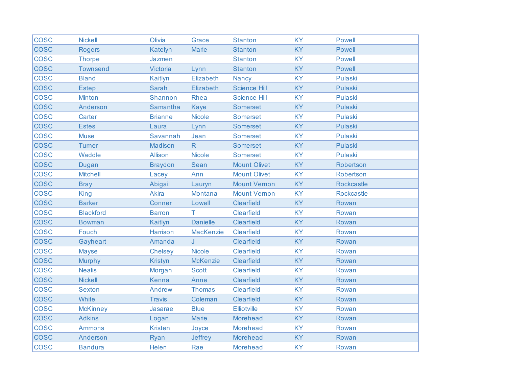| <b>COSC</b> | <b>Nickell</b>   | Olivia         | Grace            | <b>Stanton</b>      | <b>KY</b> | <b>Powell</b>     |
|-------------|------------------|----------------|------------------|---------------------|-----------|-------------------|
| <b>COSC</b> | <b>Rogers</b>    | Katelyn        | <b>Marie</b>     | <b>Stanton</b>      | <b>KY</b> | <b>Powell</b>     |
| <b>COSC</b> | <b>Thorpe</b>    | Jazmen         |                  | <b>Stanton</b>      | <b>KY</b> | <b>Powell</b>     |
| <b>COSC</b> | <b>Townsend</b>  | Victoria       | Lynn             | <b>Stanton</b>      | <b>KY</b> | <b>Powell</b>     |
| <b>COSC</b> | <b>Bland</b>     | Kaitlyn        | Elizabeth        | <b>Nancy</b>        | <b>KY</b> | Pulaski           |
| <b>COSC</b> | <b>Estep</b>     | <b>Sarah</b>   | Elizabeth        | <b>Science Hill</b> | <b>KY</b> | Pulaski           |
| <b>COSC</b> | <b>Minton</b>    | <b>Shannon</b> | <b>Rhea</b>      | <b>Science Hill</b> | <b>KY</b> | Pulaski           |
| <b>COSC</b> | Anderson         | Samantha       | <b>Kaye</b>      | Somerset            | <b>KY</b> | Pulaski           |
| <b>COSC</b> | Carter           | <b>Brianne</b> | Nicole           | Somerset            | <b>KY</b> | Pulaski           |
| <b>COSC</b> | <b>Estes</b>     | Laura          | Lynn             | Somerset            | <b>KY</b> | Pulaski           |
| <b>COSC</b> | <b>Muse</b>      | Savannah       | Jean             | <b>Somerset</b>     | <b>KY</b> | Pulaski           |
| <b>COSC</b> | <b>Turner</b>    | Madison        | R                | Somerset            | <b>KY</b> | Pulaski           |
| <b>COSC</b> | Waddle           | <b>Allison</b> | <b>Nicole</b>    | Somerset            | <b>KY</b> | Pulaski           |
| <b>COSC</b> | Dugan            | <b>Braydon</b> | Sean             | <b>Mount Olivet</b> | <b>KY</b> | Robertson         |
| <b>COSC</b> | <b>Mitchell</b>  | Lacey          | Ann              | <b>Mount Olivet</b> | <b>KY</b> | Robertson         |
| <b>COSC</b> | <b>Bray</b>      | Abigail        | Lauryn           | <b>Mount Vernon</b> | <b>KY</b> | <b>Rockcastle</b> |
| <b>COSC</b> | <b>King</b>      | <b>Akira</b>   | Montana          | <b>Mount Vernon</b> | <b>KY</b> | <b>Rockcastle</b> |
| <b>COSC</b> | <b>Barker</b>    | Conner         | Lowell           | Clearfield          | <b>KY</b> | Rowan             |
| <b>COSC</b> | <b>Blackford</b> | <b>Barron</b>  | т                | Clearfield          | <b>KY</b> | Rowan             |
| <b>COSC</b> | <b>Bowman</b>    | Kaitlyn        | <b>Danielle</b>  | Clearfield          | <b>KY</b> | Rowan             |
| <b>COSC</b> | Fouch            | Harrison       | <b>MacKenzie</b> | Clearfield          | <b>KY</b> | Rowan             |
| <b>COSC</b> | Gayheart         | Amanda         | J                | Clearfield          | <b>KY</b> | Rowan             |
| <b>COSC</b> | <b>Mayse</b>     | <b>Chelsey</b> | <b>Nicole</b>    | Clearfield          | <b>KY</b> | Rowan             |
| <b>COSC</b> | <b>Murphy</b>    | <b>Kristyn</b> | <b>McKenzie</b>  | Clearfield          | <b>KY</b> | Rowan             |
| <b>COSC</b> | <b>Nealis</b>    | Morgan         | <b>Scott</b>     | Clearfield          | <b>KY</b> | Rowan             |
| <b>COSC</b> | <b>Nickell</b>   | <b>Kenna</b>   | Anne             | Clearfield          | <b>KY</b> | Rowan             |
| <b>COSC</b> | <b>Sexton</b>    | <b>Andrew</b>  | <b>Thomas</b>    | Clearfield          | <b>KY</b> | Rowan             |
| <b>COSC</b> | White            | <b>Travis</b>  | Coleman          | Clearfield          | <b>KY</b> | Rowan             |
| <b>COSC</b> | <b>McKinney</b>  | Jasarae        | <b>Blue</b>      | Elliotville         | <b>KY</b> | Rowan             |
| <b>COSC</b> | <b>Adkins</b>    | Logan          | <b>Marie</b>     | <b>Morehead</b>     | <b>KY</b> | Rowan             |
| <b>COSC</b> | <b>Ammons</b>    | <b>Kristen</b> | Joyce            | Morehead            | <b>KY</b> | Rowan             |
| <b>COSC</b> | Anderson         | Ryan           | <b>Jeffrey</b>   | Morehead            | <b>KY</b> | Rowan             |
| <b>COSC</b> | <b>Bandura</b>   | Helen          | Rae              | <b>Morehead</b>     | <b>KY</b> | Rowan             |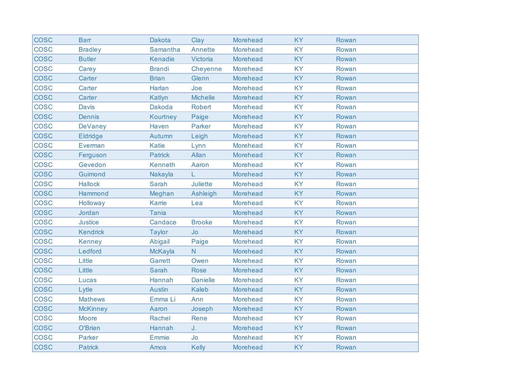| <b>COSC</b> | <b>Barr</b>     | <b>Dakota</b>  | Clay            | <b>Morehead</b> | <b>KY</b> | Rowan |
|-------------|-----------------|----------------|-----------------|-----------------|-----------|-------|
| <b>COSC</b> | <b>Bradley</b>  | Samantha       | <b>Annette</b>  | <b>Morehead</b> | <b>KY</b> | Rowan |
| <b>COSC</b> | <b>Butler</b>   | Kenadie        | Victoria        | <b>Morehead</b> | <b>KY</b> | Rowan |
| <b>COSC</b> | Carey           | <b>Brandi</b>  | Cheyenne        | <b>Morehead</b> | <b>KY</b> | Rowan |
| <b>COSC</b> | Carter          | <b>Brian</b>   | Glenn           | <b>Morehead</b> | <b>KY</b> | Rowan |
| <b>COSC</b> | Carter          | Harlan         | Joe             | <b>Morehead</b> | <b>KY</b> | Rowan |
| <b>COSC</b> | Carter          | Katlyn         | <b>Michelle</b> | <b>Morehead</b> | <b>KY</b> | Rowan |
| <b>COSC</b> | <b>Davis</b>    | <b>Dakoda</b>  | <b>Robert</b>   | <b>Morehead</b> | <b>KY</b> | Rowan |
| <b>COSC</b> | <b>Dennis</b>   | Kourtney       | Paige           | <b>Morehead</b> | <b>KY</b> | Rowan |
| <b>COSC</b> | <b>DeVaney</b>  | Haven          | Parker          | <b>Morehead</b> | <b>KY</b> | Rowan |
| <b>COSC</b> | <b>Eldridge</b> | Autumn         | Leigh           | <b>Morehead</b> | KY        | Rowan |
| <b>COSC</b> | Everman         | <b>Katie</b>   | Lynn            | <b>Morehead</b> | <b>KY</b> | Rowan |
| <b>COSC</b> | Ferguson        | <b>Patrick</b> | Allan           | <b>Morehead</b> | <b>KY</b> | Rowan |
| <b>COSC</b> | Gevedon         | <b>Kenneth</b> | Aaron           | <b>Morehead</b> | <b>KY</b> | Rowan |
| <b>COSC</b> | Guimond         | Nakayla        | L.              | <b>Morehead</b> | <b>KY</b> | Rowan |
| <b>COSC</b> | <b>Hallock</b>  | <b>Sarah</b>   | <b>Juliette</b> | <b>Morehead</b> | <b>KY</b> | Rowan |
| <b>COSC</b> | Hammond         | Meghan         | Ashleigh        | Morehead        | <b>KY</b> | Rowan |
| <b>COSC</b> | Holloway        | Karrie         | Lea             | <b>Morehead</b> | <b>KY</b> | Rowan |
| <b>COSC</b> | Jordan          | <b>Tania</b>   |                 | <b>Morehead</b> | <b>KY</b> | Rowan |
| <b>COSC</b> | <b>Justice</b>  | Candace        | <b>Brooke</b>   | <b>Morehead</b> | <b>KY</b> | Rowan |
| <b>COSC</b> | <b>Kendrick</b> | <b>Taylor</b>  | Jo              | Morehead        | <b>KY</b> | Rowan |
| <b>COSC</b> | <b>Kenney</b>   | Abigail        | Paige           | <b>Morehead</b> | <b>KY</b> | Rowan |
| <b>COSC</b> | Ledford         | <b>McKayla</b> | $\mathsf{N}$    | <b>Morehead</b> | <b>KY</b> | Rowan |
| <b>COSC</b> | Little          | Garrett        | Owen            | <b>Morehead</b> | <b>KY</b> | Rowan |
| <b>COSC</b> | Little          | <b>Sarah</b>   | <b>Rose</b>     | <b>Morehead</b> | <b>KY</b> | Rowan |
| <b>COSC</b> | Lucas           | Hannah         | <b>Danielle</b> | <b>Morehead</b> | <b>KY</b> | Rowan |
| <b>COSC</b> | Lytle           | <b>Austin</b>  | <b>Kaleb</b>    | Morehead        | <b>KY</b> | Rowan |
| <b>COSC</b> | <b>Mathews</b>  | Emma Li        | Ann             | <b>Morehead</b> | <b>KY</b> | Rowan |
| <b>COSC</b> | <b>McKinney</b> | Aaron          | Joseph          | <b>Morehead</b> | <b>KY</b> | Rowan |
| <b>COSC</b> | <b>Moore</b>    | Rachel         | Rene            | <b>Morehead</b> | <b>KY</b> | Rowan |
| <b>COSC</b> | O'Brien         | Hannah         | J.              | <b>Morehead</b> | <b>KY</b> | Rowan |
| <b>COSC</b> | <b>Parker</b>   | Emmie          | Jo              | <b>Morehead</b> | <b>KY</b> | Rowan |
| <b>COSC</b> | <b>Patrick</b>  | Amos           | <b>Kelly</b>    | <b>Morehead</b> | KY        | Rowan |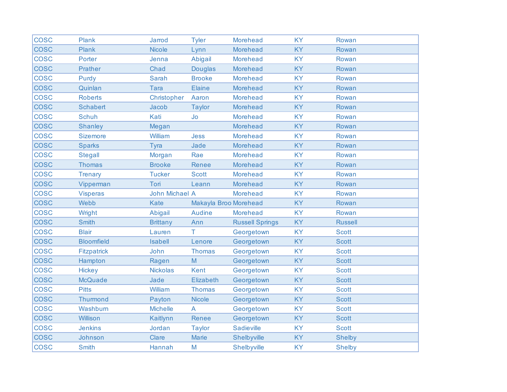| <b>COSC</b> | Plank              | <b>Jarrod</b>         | <b>Tyler</b>          | <b>Morehead</b>        | <b>KY</b> | Rowan          |
|-------------|--------------------|-----------------------|-----------------------|------------------------|-----------|----------------|
| <b>COSC</b> | <b>Plank</b>       | <b>Nicole</b>         | Lynn                  | <b>Morehead</b>        | <b>KY</b> | Rowan          |
| <b>COSC</b> | Porter             | Jenna                 | Abigail               | <b>Morehead</b>        | <b>KY</b> | Rowan          |
| <b>COSC</b> | <b>Prather</b>     | Chad                  | <b>Douglas</b>        | <b>Morehead</b>        | <b>KY</b> | Rowan          |
| <b>COSC</b> | Purdy              | <b>Sarah</b>          | <b>Brooke</b>         | <b>Morehead</b>        | <b>KY</b> | Rowan          |
| <b>COSC</b> | Quinlan            | <b>Tara</b>           | <b>Elaine</b>         | <b>Morehead</b>        | <b>KY</b> | Rowan          |
| <b>COSC</b> | <b>Roberts</b>     | Christopher           | Aaron                 | <b>Morehead</b>        | <b>KY</b> | Rowan          |
| <b>COSC</b> | <b>Schabert</b>    | Jacob                 | <b>Taylor</b>         | Morehead               | <b>KY</b> | Rowan          |
| <b>COSC</b> | <b>Schuh</b>       | Kati                  | Jo                    | <b>Morehead</b>        | <b>KY</b> | Rowan          |
| <b>COSC</b> | <b>Shanley</b>     | Megan                 |                       | Morehead               | <b>KY</b> | Rowan          |
| <b>COSC</b> | <b>Sizemore</b>    | William               | <b>Jess</b>           | <b>Morehead</b>        | <b>KY</b> | Rowan          |
| <b>COSC</b> | <b>Sparks</b>      | Tyra                  | Jade                  | <b>Morehead</b>        | <b>KY</b> | Rowan          |
| <b>COSC</b> | <b>Stegall</b>     | Morgan                | Rae                   | <b>Morehead</b>        | <b>KY</b> | Rowan          |
| <b>COSC</b> | <b>Thomas</b>      | <b>Brooke</b>         | <b>Renee</b>          | <b>Morehead</b>        | <b>KY</b> | Rowan          |
| <b>COSC</b> | <b>Trenary</b>     | <b>Tucker</b>         | <b>Scott</b>          | <b>Morehead</b>        | <b>KY</b> | Rowan          |
| <b>COSC</b> | Vipperman          | Tori                  | Leann                 | <b>Morehead</b>        | <b>KY</b> | Rowan          |
| <b>COSC</b> | <b>Visperas</b>    | <b>John Michael A</b> |                       | Morehead               | <b>KY</b> | Rowan          |
| <b>COSC</b> | Webb               | Kate                  | Makayla Broo Morehead |                        | <b>KY</b> | Rowan          |
| <b>COSC</b> | Wright             | Abigail               | <b>Audine</b>         | <b>Morehead</b>        | <b>KY</b> | Rowan          |
| <b>COSC</b> | <b>Smith</b>       | <b>Brittany</b>       | Ann                   | <b>Russell Springs</b> | <b>KY</b> | <b>Russell</b> |
| <b>COSC</b> | <b>Blair</b>       | Lauren                | T.                    | Georgetown             | <b>KY</b> | <b>Scott</b>   |
| <b>COSC</b> | <b>Bloomfield</b>  | <b>Isabell</b>        | Lenore                | Georgetown             | <b>KY</b> | <b>Scott</b>   |
| <b>COSC</b> | <b>Fitzpatrick</b> | John                  | <b>Thomas</b>         | Georgetown             | <b>KY</b> | <b>Scott</b>   |
| <b>COSC</b> | Hampton            | Ragen                 | M                     | Georgetown             | KY        | <b>Scott</b>   |
| <b>COSC</b> | <b>Hickey</b>      | <b>Nickolas</b>       | <b>Kent</b>           | Georgetown             | <b>KY</b> | <b>Scott</b>   |
| <b>COSC</b> | <b>McQuade</b>     | Jade                  | <b>Elizabeth</b>      | Georgetown             | <b>KY</b> | <b>Scott</b>   |
| <b>COSC</b> | <b>Pitts</b>       | William               | <b>Thomas</b>         | Georgetown             | <b>KY</b> | <b>Scott</b>   |
| <b>COSC</b> | <b>Thurmond</b>    | Payton                | <b>Nicole</b>         | Georgetown             | <b>KY</b> | <b>Scott</b>   |
| <b>COSC</b> | Washburn           | <b>Michelle</b>       | $\overline{A}$        | Georgetown             | <b>KY</b> | <b>Scott</b>   |
| <b>COSC</b> | <b>Willison</b>    | Kaitlynn              | Renee                 | Georgetown             | <b>KY</b> | <b>Scott</b>   |
| <b>COSC</b> | <b>Jenkins</b>     | Jordan                | <b>Taylor</b>         | <b>Sadieville</b>      | <b>KY</b> | <b>Scott</b>   |
| <b>COSC</b> | Johnson            | Clare                 | <b>Marie</b>          | Shelbyville            | <b>KY</b> | <b>Shelby</b>  |
| <b>COSC</b> | <b>Smith</b>       | Hannah                | M                     | Shelbyville            | <b>KY</b> | <b>Shelby</b>  |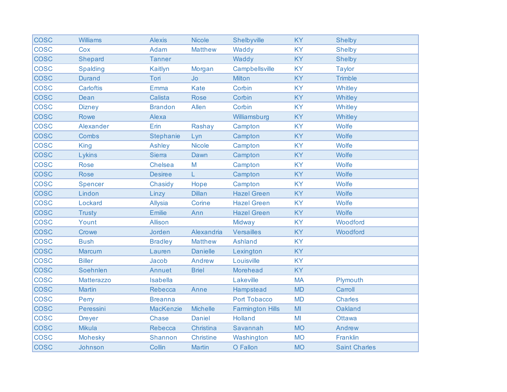| <b>COSC</b> | <b>Williams</b> | <b>Alexis</b>    | <b>Nicole</b>    | Shelbyville             | <b>KY</b>      | <b>Shelby</b>        |
|-------------|-----------------|------------------|------------------|-------------------------|----------------|----------------------|
| <b>COSC</b> | Cox             | Adam             | <b>Matthew</b>   | Waddy                   | <b>KY</b>      | <b>Shelby</b>        |
| <b>COSC</b> | Shepard         | <b>Tanner</b>    |                  | Waddy                   | <b>KY</b>      | <b>Shelby</b>        |
| <b>COSC</b> | <b>Spalding</b> | Kaitlyn          | Morgan           | Campbellsville          | <b>KY</b>      | <b>Taylor</b>        |
| <b>COSC</b> | <b>Durand</b>   | Tori             | <b>Jo</b>        | Milton                  | <b>KY</b>      | <b>Trimble</b>       |
| <b>COSC</b> | Carloftis       | Emma             | <b>Kate</b>      | Corbin                  | <b>KY</b>      | Whitley              |
| <b>COSC</b> | Dean            | Calista          | <b>Rose</b>      | Corbin                  | <b>KY</b>      | Whitley              |
| <b>COSC</b> | <b>Dizney</b>   | <b>Brandon</b>   | Allen            | Corbin                  | <b>KY</b>      | Whitley              |
| <b>COSC</b> | <b>Rowe</b>     | Alexa            |                  | Williamsburg            | <b>KY</b>      | Whitley              |
| <b>COSC</b> | Alexander       | Erin             | Rashay           | Campton                 | <b>KY</b>      | Wolfe                |
| <b>COSC</b> | Combs           | <b>Stephanie</b> | Lyn              | Campton                 | <b>KY</b>      | Wolfe                |
| <b>COSC</b> | <b>King</b>     | <b>Ashley</b>    | <b>Nicole</b>    | Campton                 | <b>KY</b>      | Wolfe                |
| <b>COSC</b> | Lykins          | <b>Sierra</b>    | Dawn             | Campton                 | <b>KY</b>      | Wolfe                |
| <b>COSC</b> | <b>Rose</b>     | <b>Chelsea</b>   | M                | Campton                 | <b>KY</b>      | Wolfe                |
| <b>COSC</b> | <b>Rose</b>     | <b>Desiree</b>   | L                | Campton                 | <b>KY</b>      | Wolfe                |
| <b>COSC</b> | Spencer         | Chasidy          | Hope             | Campton                 | <b>KY</b>      | Wolfe                |
| <b>COSC</b> | Lindon          | Linzy            | <b>Dillan</b>    | <b>Hazel Green</b>      | <b>KY</b>      | Wolfe                |
| <b>COSC</b> | Lockard         | <b>Allysia</b>   | Corine           | <b>Hazel Green</b>      | <b>KY</b>      | Wolfe                |
| <b>COSC</b> | <b>Trusty</b>   | Emilie           | Ann              | <b>Hazel Green</b>      | <b>KY</b>      | Wolfe                |
| <b>COSC</b> | Yount           | <b>Allison</b>   |                  | Midway                  | <b>KY</b>      | Woodford             |
| <b>COSC</b> | Crowe           | Jorden           | Alexandria       | <b>Versailles</b>       | <b>KY</b>      | Woodford             |
| <b>COSC</b> | <b>Bush</b>     | <b>Bradley</b>   | <b>Matthew</b>   | <b>Ashland</b>          | <b>KY</b>      |                      |
| <b>COSC</b> | Marcum          | Lauren           | <b>Danielle</b>  | Lexington               | <b>KY</b>      |                      |
| <b>COSC</b> | <b>Biller</b>   | Jacob            | Andrew           | Louisville              | <b>KY</b>      |                      |
| <b>COSC</b> | Soehnlen        | Annuet           | <b>Briel</b>     | Morehead                | <b>KY</b>      |                      |
| <b>COSC</b> | Matterazzo      | <b>Isabella</b>  |                  | Lakeville               | <b>MA</b>      | Plymouth             |
| <b>COSC</b> | <b>Martin</b>   | <b>Rebecca</b>   | Anne             | Hampstead               | <b>MD</b>      | Carroll              |
| <b>COSC</b> | Perry           | <b>Breanna</b>   |                  | <b>Port Tobacco</b>     | <b>MD</b>      | <b>Charles</b>       |
| <b>COSC</b> | Peressini       | <b>MacKenzie</b> | <b>Michelle</b>  | <b>Farmington Hills</b> | M <sub>l</sub> | Oakland              |
| <b>COSC</b> | <b>Dreyer</b>   | <b>Chase</b>     | <b>Daniel</b>    | <b>Holland</b>          | MI             | <b>Ottawa</b>        |
| <b>COSC</b> | <b>Mikula</b>   | Rebecca          | Christina        | Savannah                | <b>MO</b>      | Andrew               |
| <b>COSC</b> | Mohesky         | Shannon          | <b>Christine</b> | Washington              | <b>MO</b>      | Franklin             |
| <b>COSC</b> | Johnson         | Collin           | <b>Martin</b>    | O Fallon                | <b>MO</b>      | <b>Saint Charles</b> |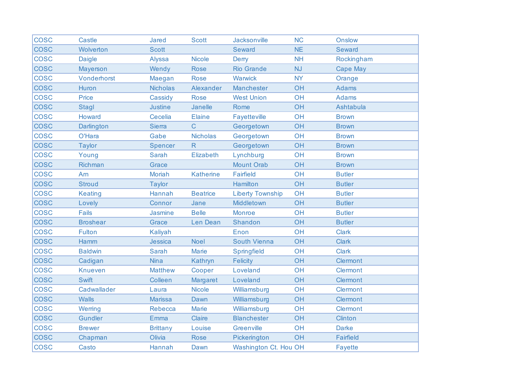| <b>COSC</b> | <b>Castle</b>     | Jared           | <b>Scott</b>     | Jacksonville            | <b>NC</b> | <b>Onslow</b>   |
|-------------|-------------------|-----------------|------------------|-------------------------|-----------|-----------------|
| <b>COSC</b> | Wolverton         | <b>Scott</b>    |                  | Seward                  | <b>NE</b> | Seward          |
| <b>COSC</b> | <b>Daigle</b>     | <b>Alyssa</b>   | <b>Nicole</b>    | Derry                   | <b>NH</b> | Rockingham      |
| <b>COSC</b> | Mayerson          | Wendy           | <b>Rose</b>      | <b>Rio Grande</b>       | <b>NJ</b> | <b>Cape May</b> |
| <b>COSC</b> | Vonderhorst       | Maegan          | <b>Rose</b>      | Warwick                 | <b>NY</b> | Orange          |
| <b>COSC</b> | Huron             | <b>Nicholas</b> | Alexander        | Manchester              | OH        | <b>Adams</b>    |
| <b>COSC</b> | Price             | Cassidy         | <b>Rose</b>      | <b>West Union</b>       | OH        | <b>Adams</b>    |
| <b>COSC</b> | Stagl             | <b>Justine</b>  | Janelle          | Rome                    | OH        | Ashtabula       |
| <b>COSC</b> | Howard            | Cecelia         | <b>Elaine</b>    | Fayetteville            | OH        | <b>Brown</b>    |
| <b>COSC</b> | <b>Darlington</b> | <b>Sierra</b>   | C                | Georgetown              | OH        | <b>Brown</b>    |
| <b>COSC</b> | O'Hara            | Gabe            | <b>Nicholas</b>  | Georgetown              | OH        | <b>Brown</b>    |
| <b>COSC</b> | <b>Taylor</b>     | Spencer         | R.               | Georgetown              | OH        | <b>Brown</b>    |
| <b>COSC</b> | Young             | <b>Sarah</b>    | Elizabeth        | Lynchburg               | OH        | <b>Brown</b>    |
| <b>COSC</b> | Richman           | Grace           |                  | <b>Mount Orab</b>       | <b>OH</b> | <b>Brown</b>    |
| <b>COSC</b> | Am                | <b>Moriah</b>   | <b>Katherine</b> | Fairfield               | OH        | <b>Butler</b>   |
| <b>COSC</b> | <b>Stroud</b>     | <b>Taylor</b>   |                  | Hamilton                | OH        | <b>Butler</b>   |
| <b>COSC</b> | <b>Keating</b>    | Hannah          | <b>Beatrice</b>  | <b>Liberty Township</b> | OH        | <b>Butler</b>   |
| <b>COSC</b> | Lovely            | Connor          | Jane             | Middletown              | OH        | <b>Butler</b>   |
| <b>COSC</b> | <b>Fails</b>      | <b>Jasmine</b>  | <b>Belle</b>     | <b>Monroe</b>           | OH        | <b>Butler</b>   |
| <b>COSC</b> | <b>Broshear</b>   | Grace           | Len Dean         | Shandon                 | OH        | <b>Butler</b>   |
| <b>COSC</b> | <b>Fulton</b>     | <b>Kaliyah</b>  |                  | Enon                    | OH        | <b>Clark</b>    |
| <b>COSC</b> | Hamm              | Jessica         | <b>Noel</b>      | South Vienna            | OH        | <b>Clark</b>    |
| <b>COSC</b> | <b>Baldwin</b>    | <b>Sarah</b>    | <b>Marie</b>     | Springfield             | OH        | <b>Clark</b>    |
| <b>COSC</b> | Cadigan           | <b>Nina</b>     | Kathryn          | <b>Felicity</b>         | OH        | <b>Clermont</b> |
| <b>COSC</b> | <b>Knueven</b>    | <b>Matthew</b>  | Cooper           | Loveland                | OH        | <b>Clermont</b> |
| <b>COSC</b> | <b>Swift</b>      | Colleen         | Margaret         | Loveland                | OH        | <b>Clermont</b> |
| <b>COSC</b> | Cadwallader       | Laura           | <b>Nicole</b>    | Williamsburg            | OH        | Clermont        |
| <b>COSC</b> | <b>Walls</b>      | <b>Marissa</b>  | Dawn             | Williamsburg            | OH        | <b>Clermont</b> |
| <b>COSC</b> | Werring           | Rebecca         | <b>Marie</b>     | Williamsburg            | OH        | <b>Clermont</b> |
| <b>COSC</b> | <b>Gundler</b>    | Emma            | Claire           | <b>Blanchester</b>      | OH        | <b>Clinton</b>  |
| <b>COSC</b> | <b>Brewer</b>     | <b>Brittany</b> | Louise           | Greenville              | OH        | <b>Darke</b>    |
| <b>COSC</b> | Chapman           | Olivia          | <b>Rose</b>      | Pickerington            | OH        | Fairfield       |
| <b>COSC</b> | Casto             | Hannah          | Dawn             | Washington Ct. Hou OH   |           | <b>Fayette</b>  |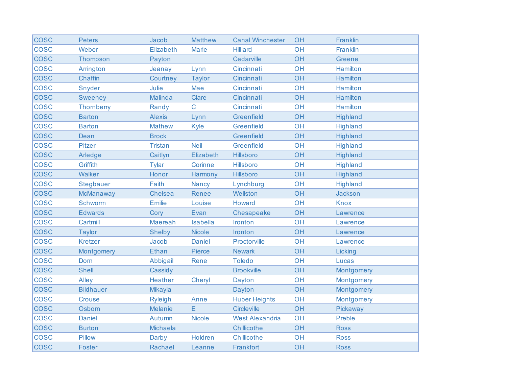| <b>COSC</b> | <b>Peters</b>    | Jacob          | <b>Matthew</b>  | <b>Canal Winchester</b> | OH | Franklin        |
|-------------|------------------|----------------|-----------------|-------------------------|----|-----------------|
| <b>COSC</b> | Weber            | Elizabeth      | <b>Marie</b>    | <b>Hilliard</b>         | OH | Franklin        |
| <b>COSC</b> | Thompson         | Payton         |                 | Cedarville              | OH | <b>Greene</b>   |
| <b>COSC</b> | Arrington        | Jeanay         | Lynn            | Cincinnati              | OH | Hamilton        |
| <b>COSC</b> | Chaffin          | Courtney       | <b>Taylor</b>   | Cincinnati              | OH | <b>Hamilton</b> |
| <b>COSC</b> | Snyder           | Julie          | Mae             | Cincinnati              | OH | <b>Hamilton</b> |
| <b>COSC</b> | <b>Sweeney</b>   | Malinda        | Clare           | Cincinnati              | OH | Hamilton        |
| <b>COSC</b> | <b>Thomberry</b> | Randy          | $\mathsf{C}$    | Cincinnati              | OH | <b>Hamilton</b> |
| <b>COSC</b> | <b>Barton</b>    | <b>Alexis</b>  | Lynn            | Greenfield              | OH | Highland        |
| <b>COSC</b> | <b>Barton</b>    | <b>Mathew</b>  | Kyle            | Greenfield              | OH | <b>Highland</b> |
| <b>COSC</b> | Dean             | <b>Brock</b>   |                 | Greenfield              | OH | <b>Highland</b> |
| <b>COSC</b> | <b>Pitzer</b>    | <b>Tristan</b> | <b>Neil</b>     | Greenfield              | OH | <b>Highland</b> |
| <b>COSC</b> | Arledge          | Caitlyn        | Elizabeth       | Hillsboro               | OH | Highland        |
| <b>COSC</b> | Griffith         | Tylar          | Corinne         | Hillsboro               | OH | <b>Highland</b> |
| <b>COSC</b> | <b>Walker</b>    | Honor          | Harmony         | Hillsboro               | OH | <b>Highland</b> |
| <b>COSC</b> | <b>Stegbauer</b> | Faith          | <b>Nancy</b>    | Lynchburg               | OH | Highland        |
| <b>COSC</b> | <b>McManaway</b> | Chelsea        | Renee           | Wellston                | OH | Jackson         |
| <b>COSC</b> | Schworm          | <b>Emilie</b>  | Louise          | Howard                  | OH | <b>Knox</b>     |
| <b>COSC</b> | <b>Edwards</b>   | Cory           | Evan            | Chesapeake              | OH | Lawrence        |
| <b>COSC</b> | Cartmill         | Maereah        | <b>Isabella</b> | Ironton                 | OH | Lawrence        |
| <b>COSC</b> | <b>Taylor</b>    | <b>Shelby</b>  | <b>Nicole</b>   | Ironton                 | OH | Lawrence        |
| <b>COSC</b> | <b>Kretzer</b>   | Jacob          | <b>Daniel</b>   | Proctorville            | OH | Lawrence        |
| <b>COSC</b> | Montgomery       | <b>Ethan</b>   | Pierce          | <b>Newark</b>           | OH | Licking         |
| <b>COSC</b> | Dorn             | Abbigail       | Rene            | <b>Toledo</b>           | OH | Lucas           |
| <b>COSC</b> | <b>Shell</b>     | Cassidy        |                 | <b>Brookville</b>       | OH | Montgomery      |
| <b>COSC</b> | Alley            | <b>Heather</b> | Cheryl          | Dayton                  | OH | Montgomery      |
| <b>COSC</b> | <b>Bildhauer</b> | <b>Mikayla</b> |                 | Dayton                  | OH | Montgomery      |
| <b>COSC</b> | <b>Crouse</b>    | <b>Ryleigh</b> | Anne            | <b>Huber Heights</b>    | OH | Montgomery      |
| <b>COSC</b> | Osborn           | <b>Melanie</b> | E               | Circleville             | OH | Pickaway        |
| <b>COSC</b> | <b>Daniel</b>    | Autumn         | <b>Nicole</b>   | <b>West Alexandria</b>  | OH | Preble          |
| <b>COSC</b> | <b>Burton</b>    | Michaela       |                 | Chillicothe             | OH | <b>Ross</b>     |
| <b>COSC</b> | <b>Pillow</b>    | Darby          | Holdren         | Chillicothe             | OH | <b>Ross</b>     |
| <b>COSC</b> | Foster           | Rachael        | Leanne          | Frankfort               | OH | <b>Ross</b>     |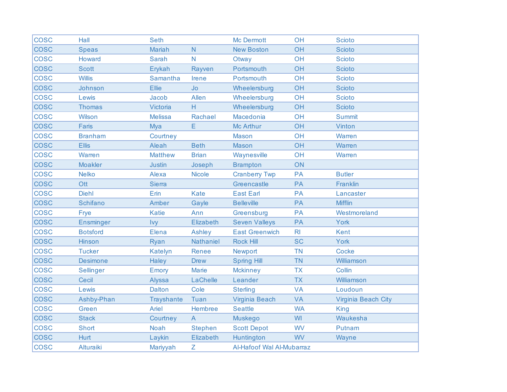| <b>COSC</b> | Hall             | <b>Seth</b>       |                  | Mc Dermott                | OH             | <b>Scioto</b>       |
|-------------|------------------|-------------------|------------------|---------------------------|----------------|---------------------|
| <b>COSC</b> | <b>Speas</b>     | <b>Mariah</b>     | $\mathsf{N}$     | <b>New Boston</b>         | OH             | <b>Scioto</b>       |
| <b>COSC</b> | Howard           | <b>Sarah</b>      | $\mathsf{N}$     | Otway                     | OH             | <b>Scioto</b>       |
| <b>COSC</b> | <b>Scott</b>     | Erykah            | Rayven           | Portsmouth                | OH             | <b>Scioto</b>       |
| <b>COSC</b> | <b>Willis</b>    | Samantha          | Irene            | Portsmouth                | OH             | <b>Scioto</b>       |
| <b>COSC</b> | Johnson          | Ellie             | Jo               | Wheelersburg              | OH             | <b>Scioto</b>       |
| <b>COSC</b> | Lewis            | Jacob             | Allen            | Wheelersburg              | OH             | <b>Scioto</b>       |
| <b>COSC</b> | <b>Thomas</b>    | Victoria          | H.               | Wheelersburg              | OH             | <b>Scioto</b>       |
| <b>COSC</b> | Wilson           | <b>Melissa</b>    | Rachael          | Macedonia                 | OH             | <b>Summit</b>       |
| <b>COSC</b> | Faris            | Mya               | E                | Mc Arthur                 | OH             | Vinton              |
| <b>COSC</b> | <b>Branham</b>   | Courtney          |                  | <b>Mason</b>              | OH             | Warren              |
| <b>COSC</b> | <b>Ellis</b>     | Aleah             | <b>Beth</b>      | <b>Mason</b>              | OH             | Warren              |
| <b>COSC</b> | Warren           | <b>Matthew</b>    | <b>Brian</b>     | Waynesville               | OH             | Warren              |
| <b>COSC</b> | <b>Moakler</b>   | <b>Justin</b>     | Joseph           | <b>Brampton</b>           | ON             |                     |
| <b>COSC</b> | <b>Nelko</b>     | Alexa             | <b>Nicole</b>    | <b>Cranberry Twp</b>      | <b>PA</b>      | <b>Butler</b>       |
| <b>COSC</b> | Ott              | <b>Sierra</b>     |                  | Greencastle               | PA             | Franklin            |
| <b>COSC</b> | <b>Diehl</b>     | Erin              | <b>Kate</b>      | <b>East Earl</b>          | <b>PA</b>      | Lancaster           |
| <b>COSC</b> | <b>Schifano</b>  | Amber             | Gayle            | <b>Belleville</b>         | PA             | <b>Mifflin</b>      |
| <b>COSC</b> | Frye             | <b>Katie</b>      | Ann              | Greensburg                | PA             | Westmoreland        |
| <b>COSC</b> | <b>Ensminger</b> | Ivy               | Elizabeth        | <b>Seven Valleys</b>      | PA             | <b>York</b>         |
| <b>COSC</b> | <b>Botsford</b>  | Elena             | Ashley           | <b>East Greenwich</b>     | R <sub>l</sub> | <b>Kent</b>         |
| <b>COSC</b> | <b>Hinson</b>    | Ryan              | <b>Nathaniel</b> | <b>Rock Hill</b>          | <b>SC</b>      | <b>York</b>         |
| <b>COSC</b> | <b>Tucker</b>    | Katelyn           | Renee            | <b>Newport</b>            | <b>TN</b>      | <b>Cocke</b>        |
| <b>COSC</b> | <b>Desimone</b>  | Haley             | <b>Drew</b>      | <b>Spring Hill</b>        | <b>TN</b>      | Williamson          |
| <b>COSC</b> | <b>Sellinger</b> | Emory             | <b>Marie</b>     | <b>Mckinney</b>           | <b>TX</b>      | Collin              |
| <b>COSC</b> | Cecil            | <b>Alyssa</b>     | LaChelle         | Leander                   | <b>TX</b>      | Williamson          |
| <b>COSC</b> | Lewis            | <b>Dalton</b>     | Cole             | <b>Sterling</b>           | <b>VA</b>      | Loudoun             |
| <b>COSC</b> | Ashby-Phan       | <b>Trayshante</b> | Tuan             | Virginia Beach            | <b>VA</b>      | Virginia Beach City |
| <b>COSC</b> | Green            | Ariel             | Hembree          | <b>Seattle</b>            | <b>WA</b>      | <b>King</b>         |
| <b>COSC</b> | <b>Stack</b>     | Courtney          | $\overline{A}$   | <b>Muskego</b>            | WI             | Waukesha            |
| <b>COSC</b> | Short            | <b>Noah</b>       | <b>Stephen</b>   | <b>Scott Depot</b>        | <b>WV</b>      | Putnam              |
| <b>COSC</b> | <b>Hurt</b>      | Laykin            | Elizabeth        | Huntington                | <b>WV</b>      | Wayne               |
| <b>COSC</b> | Alturaiki        | Mariyyah          | Ζ                | Al-Hafoof Wal Al-Mubarraz |                |                     |